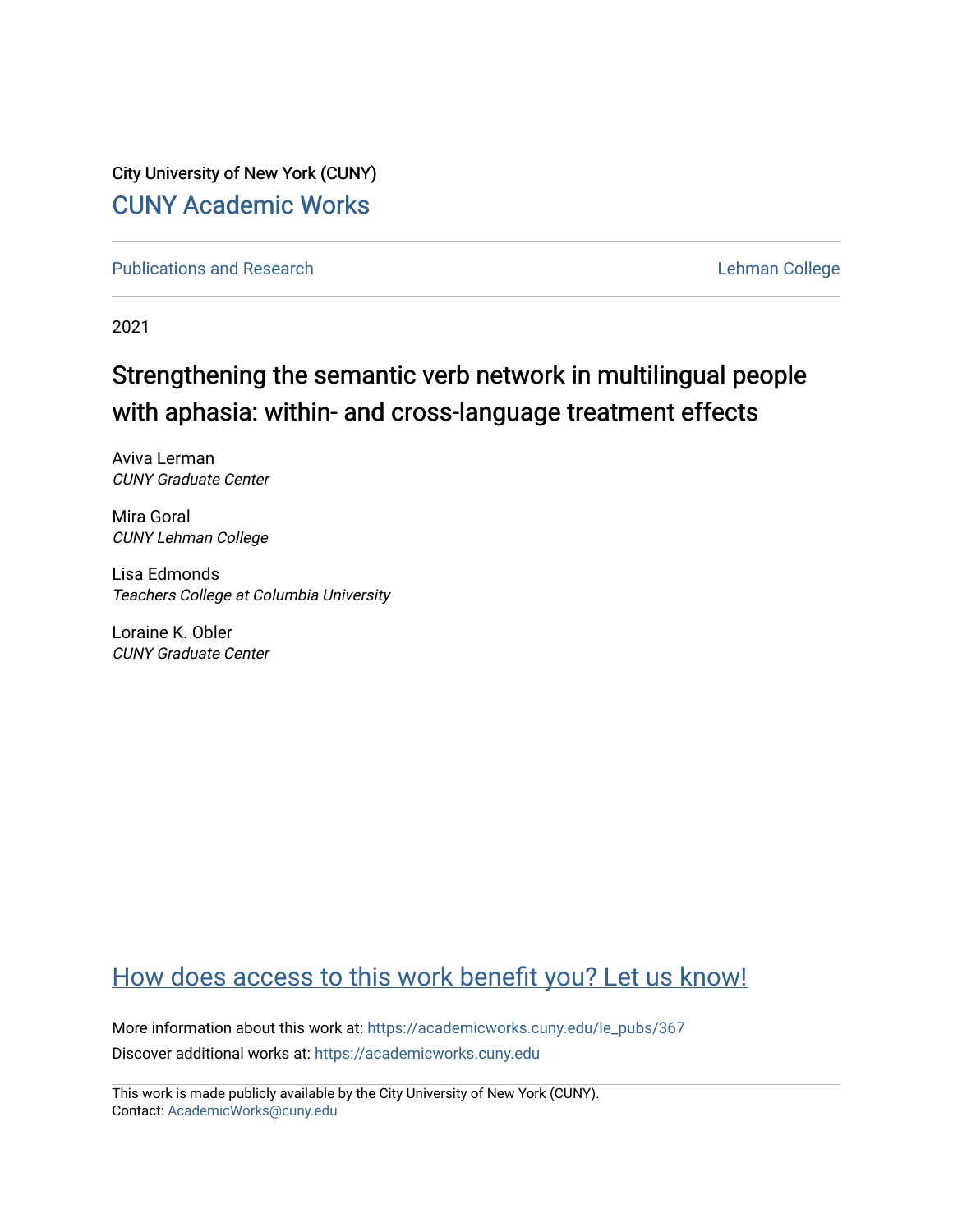City University of New York (CUNY) [CUNY Academic Works](https://academicworks.cuny.edu/) 

[Publications and Research](https://academicworks.cuny.edu/le_pubs) **Lehman College** 

2021

# Strengthening the semantic verb network in multilingual people with aphasia: within- and cross-language treatment effects

Aviva Lerman CUNY Graduate Center

Mira Goral CUNY Lehman College

Lisa Edmonds Teachers College at Columbia University

Loraine K. Obler CUNY Graduate Center

# [How does access to this work benefit you? Let us know!](http://ols.cuny.edu/academicworks/?ref=https://academicworks.cuny.edu/le_pubs/367)

More information about this work at: [https://academicworks.cuny.edu/le\\_pubs/367](https://academicworks.cuny.edu/le_pubs/367) Discover additional works at: [https://academicworks.cuny.edu](https://academicworks.cuny.edu/?)

This work is made publicly available by the City University of New York (CUNY). Contact: [AcademicWorks@cuny.edu](mailto:AcademicWorks@cuny.edu)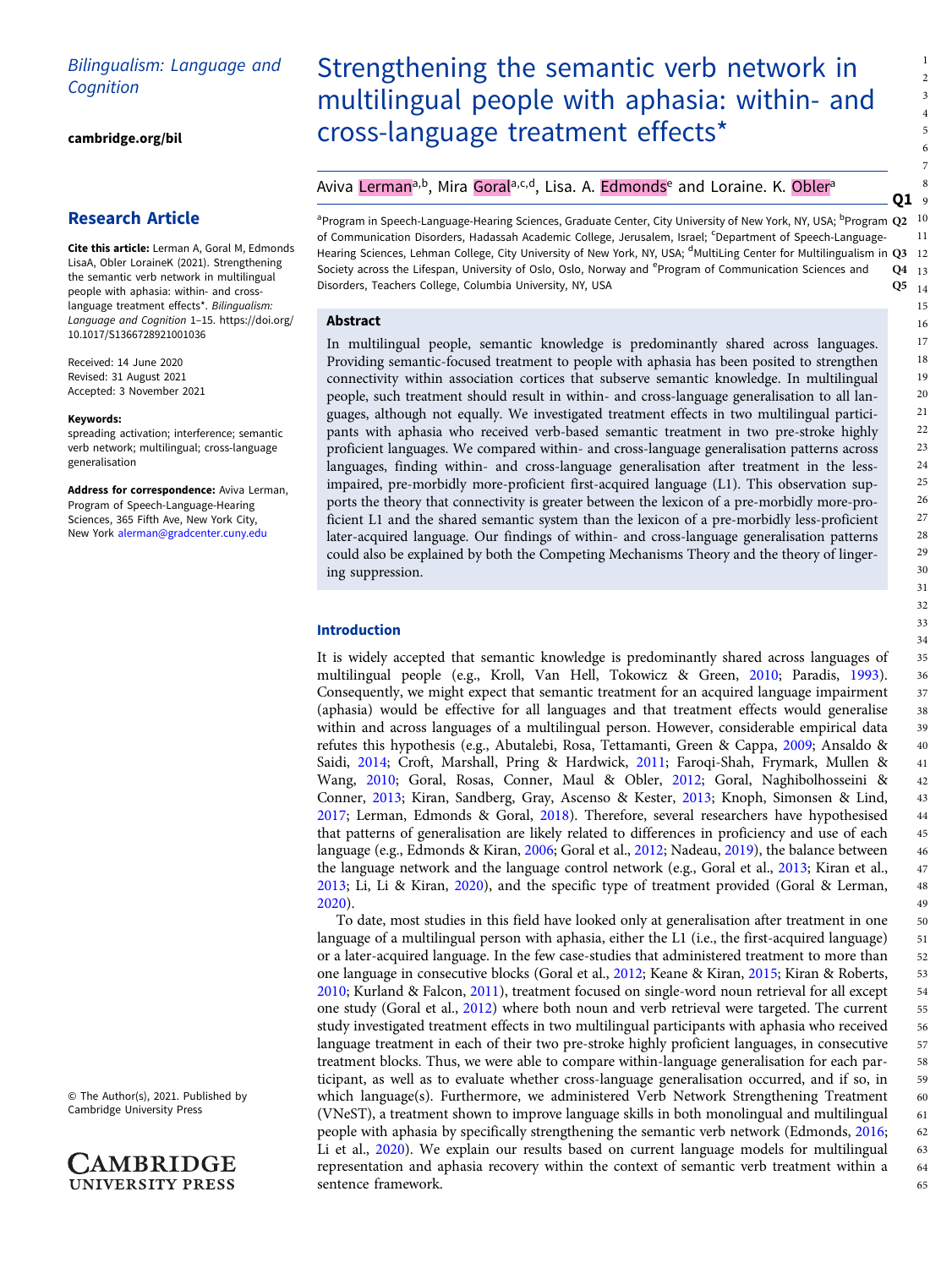# Bilingualism: Language and **Cognition**

[cambridge.org/bil](https://www.cambridge.org/bil)

## Research Article

Cite this article: Lerman A, Goral M, Edmonds LisaA, Obler LoraineK (2021). Strengthening the semantic verb network in multilingual people with aphasia: within- and crosslanguage treatment effects\*. Bilingualism: Language and Cognition 1–15. [https://doi.org/](https://doi.org/10.1017/S1366728921001036) [10.1017/S1366728921001036](https://doi.org/10.1017/S1366728921001036)

Received: 14 June 2020 Revised: 31 August 2021 Accepted: 3 November 2021

#### Keywords:

spreading activation; interference; semantic verb network; multilingual; cross-language generalisation

Address for correspondence: Aviva Lerman, Program of Speech-Language-Hearing Sciences, 365 Fifth Ave, New York City, New York [alerman@gradcenter.cuny.edu](mailto:alerman@gradcenter.cuny.edu)

© The Author(s), 2021. Published by Cambridge University Press



# Strengthening the semantic verb network in multilingual people with aphasia: within- and cross-language treatment effects\*

## Aviva Lerman<sup>a,b</sup>, Mira Gorala,c,d, Lisa. A. Edmonds<sup>e</sup> and Loraine. K. Obler<sup>a</sup>

<sup>a</sup>Program in Speech-Language-Hearing Sciences, Graduate Center, City University of New York, NY, USA; <sup>b</sup>Program Q2 of Communication Disorders, Hadassah Academic College, Jerusalem, Israel; <sup>c</sup>Department of Speech-Language-Hearing Sciences, Lehman College, City University of New York, NY, USA; <sup>d</sup>MultiLing Center for Multilingualism in Q3 12 Society across the Lifespan, University of Oslo, Oslo, Norway and <sup>e</sup>Program of Communication Sciences and Q4 Disorders, Teachers College, Columbia University, NY, USA 10 11 Q4 13  $Q5_{14}$ 

Q1 9

#### Abstract

In multilingual people, semantic knowledge is predominantly shared across languages. Providing semantic-focused treatment to people with aphasia has been posited to strengthen connectivity within association cortices that subserve semantic knowledge. In multilingual people, such treatment should result in within- and cross-language generalisation to all languages, although not equally. We investigated treatment effects in two multilingual participants with aphasia who received verb-based semantic treatment in two pre-stroke highly proficient languages. We compared within- and cross-language generalisation patterns across languages, finding within- and cross-language generalisation after treatment in the lessimpaired, pre-morbidly more-proficient first-acquired language (L1). This observation supports the theory that connectivity is greater between the lexicon of a pre-morbidly more-proficient L1 and the shared semantic system than the lexicon of a pre-morbidly less-proficient later-acquired language. Our findings of within- and cross-language generalisation patterns could also be explained by both the Competing Mechanisms Theory and the theory of lingering suppression.

### Introduction

It is widely accepted that semantic knowledge is predominantly shared across languages of multilingual people (e.g., Kroll, Van Hell, Tokowicz & Green, [2010](#page-14-0); Paradis, [1993](#page-15-0)). Consequently, we might expect that semantic treatment for an acquired language impairment (aphasia) would be effective for all languages and that treatment effects would generalise within and across languages of a multilingual person. However, considerable empirical data refutes this hypothesis (e.g., Abutalebi, Rosa, Tettamanti, Green & Cappa, [2009](#page-13-0); Ansaldo & Saidi, [2014](#page-13-0); Croft, Marshall, Pring & Hardwick, [2011;](#page-13-0) Faroqi-Shah, Frymark, Mullen & Wang, [2010;](#page-14-0) Goral, Rosas, Conner, Maul & Obler, [2012](#page-14-0); Goral, Naghibolhosseini & Conner, [2013](#page-14-0); Kiran, Sandberg, Gray, Ascenso & Kester, [2013](#page-14-0); Knoph, Simonsen & Lind, [2017;](#page-14-0) Lerman, Edmonds & Goral, [2018](#page-14-0)). Therefore, several researchers have hypothesised that patterns of generalisation are likely related to differences in proficiency and use of each language (e.g., Edmonds & Kiran, [2006;](#page-14-0) Goral et al., [2012](#page-14-0); Nadeau, [2019\)](#page-15-0), the balance between the language network and the language control network (e.g., Goral et al., [2013](#page-14-0); Kiran et al., [2013;](#page-14-0) Li, Li & Kiran, [2020\)](#page-15-0), and the specific type of treatment provided (Goral & Lerman, [2020\)](#page-14-0).

To date, most studies in this field have looked only at generalisation after treatment in one language of a multilingual person with aphasia, either the L1 (i.e., the first-acquired language) or a later-acquired language. In the few case-studies that administered treatment to more than one language in consecutive blocks (Goral et al., [2012](#page-14-0); Keane & Kiran, [2015;](#page-14-0) Kiran & Roberts, [2010;](#page-14-0) Kurland & Falcon, [2011\)](#page-14-0), treatment focused on single-word noun retrieval for all except one study (Goral et al., [2012](#page-14-0)) where both noun and verb retrieval were targeted. The current study investigated treatment effects in two multilingual participants with aphasia who received language treatment in each of their two pre-stroke highly proficient languages, in consecutive treatment blocks. Thus, we were able to compare within-language generalisation for each participant, as well as to evaluate whether cross-language generalisation occurred, and if so, in which language(s). Furthermore, we administered Verb Network Strengthening Treatment (VNeST), a treatment shown to improve language skills in both monolingual and multilingual people with aphasia by specifically strengthening the semantic verb network (Edmonds, [2016](#page-13-0); Li et al., [2020](#page-15-0)). We explain our results based on current language models for multilingual representation and aphasia recovery within the context of semantic verb treatment within a sentence framework.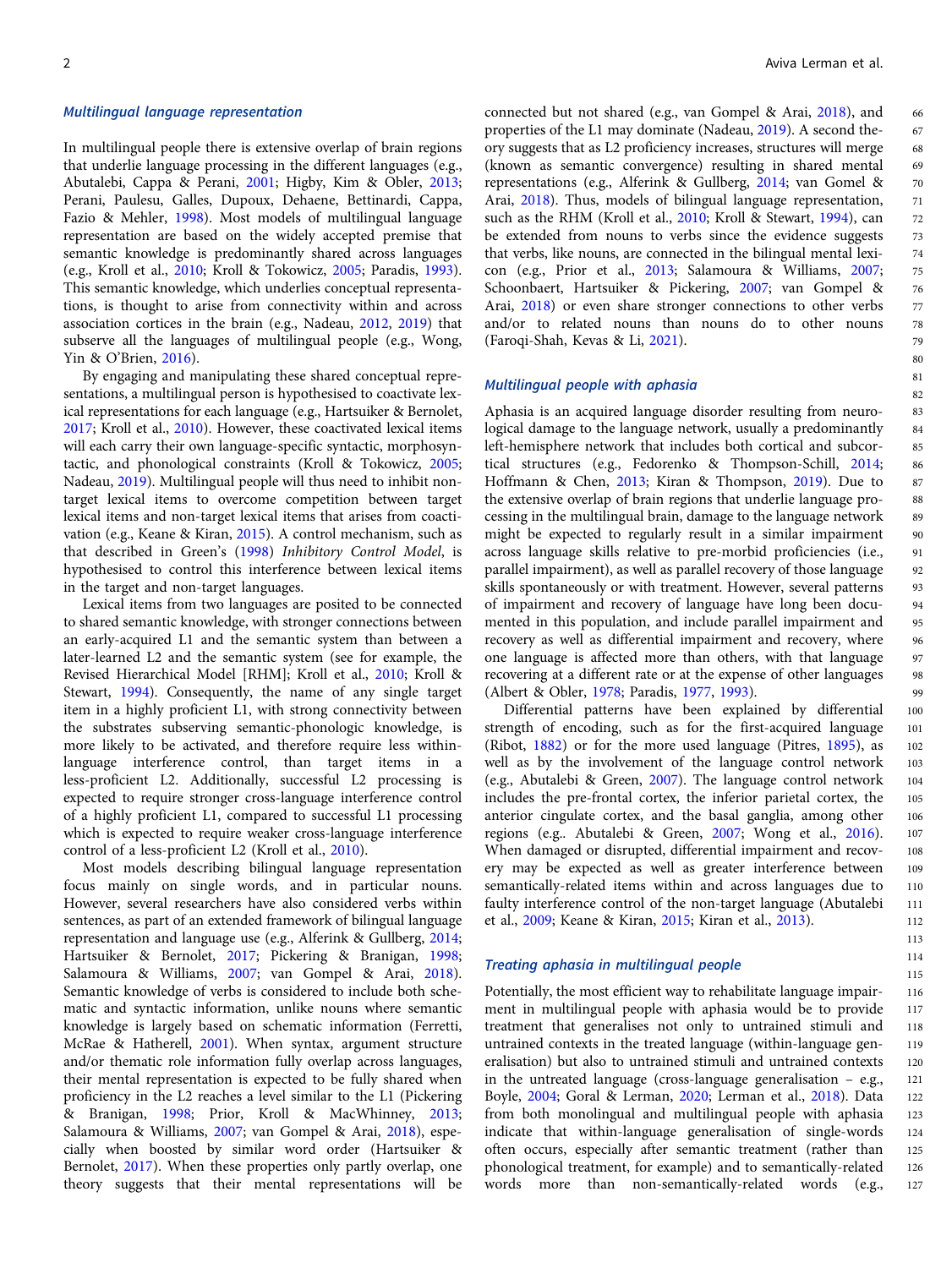#### Multilingual language representation

In multilingual people there is extensive overlap of brain regions that underlie language processing in the different languages (e.g., Abutalebi, Cappa & Perani, [2001](#page-13-0); Higby, Kim & Obler, [2013](#page-14-0); Perani, Paulesu, Galles, Dupoux, Dehaene, Bettinardi, Cappa, Fazio & Mehler, [1998\)](#page-15-0). Most models of multilingual language representation are based on the widely accepted premise that semantic knowledge is predominantly shared across languages (e.g., Kroll et al., [2010](#page-14-0); Kroll & Tokowicz, [2005](#page-14-0); Paradis, [1993\)](#page-15-0). This semantic knowledge, which underlies conceptual representations, is thought to arise from connectivity within and across association cortices in the brain (e.g., Nadeau, [2012](#page-15-0), [2019](#page-15-0)) that subserve all the languages of multilingual people (e.g., Wong, Yin & O'Brien, [2016\)](#page-15-0).

By engaging and manipulating these shared conceptual representations, a multilingual person is hypothesised to coactivate lexical representations for each language (e.g., Hartsuiker & Bernolet, [2017;](#page-14-0) Kroll et al., [2010](#page-14-0)). However, these coactivated lexical items will each carry their own language-specific syntactic, morphosyntactic, and phonological constraints (Kroll & Tokowicz, [2005](#page-14-0); Nadeau, [2019\)](#page-15-0). Multilingual people will thus need to inhibit nontarget lexical items to overcome competition between target lexical items and non-target lexical items that arises from coactivation (e.g., Keane & Kiran, [2015](#page-14-0)). A control mechanism, such as that described in Green's [\(1998](#page-14-0)) Inhibitory Control Model, is hypothesised to control this interference between lexical items in the target and non-target languages.

Lexical items from two languages are posited to be connected to shared semantic knowledge, with stronger connections between an early-acquired L1 and the semantic system than between a later-learned L2 and the semantic system (see for example, the Revised Hierarchical Model [RHM]; Kroll et al., [2010](#page-14-0); Kroll & Stewart, [1994](#page-14-0)). Consequently, the name of any single target item in a highly proficient L1, with strong connectivity between the substrates subserving semantic-phonologic knowledge, is more likely to be activated, and therefore require less withinlanguage interference control, than target items in a less-proficient L2. Additionally, successful L2 processing is expected to require stronger cross-language interference control of a highly proficient L1, compared to successful L1 processing which is expected to require weaker cross-language interference control of a less-proficient L2 (Kroll et al., [2010\)](#page-14-0).

Most models describing bilingual language representation focus mainly on single words, and in particular nouns. However, several researchers have also considered verbs within sentences, as part of an extended framework of bilingual language representation and language use (e.g., Alferink & Gullberg, [2014](#page-13-0); Hartsuiker & Bernolet, [2017](#page-14-0); Pickering & Branigan, [1998](#page-15-0); Salamoura & Williams, [2007;](#page-15-0) van Gompel & Arai, [2018\)](#page-15-0). Semantic knowledge of verbs is considered to include both schematic and syntactic information, unlike nouns where semantic knowledge is largely based on schematic information (Ferretti, McRae & Hatherell, [2001](#page-14-0)). When syntax, argument structure and/or thematic role information fully overlap across languages, their mental representation is expected to be fully shared when proficiency in the L2 reaches a level similar to the L1 (Pickering & Branigan, [1998;](#page-15-0) Prior, Kroll & MacWhinney, [2013](#page-15-0); Salamoura & Williams, [2007;](#page-15-0) van Gompel & Arai, [2018](#page-15-0)), especially when boosted by similar word order (Hartsuiker & Bernolet, [2017\)](#page-14-0). When these properties only partly overlap, one theory suggests that their mental representations will be

connected but not shared (e.g., van Gompel & Arai, [2018\)](#page-15-0), and properties of the L1 may dominate (Nadeau, [2019](#page-15-0)). A second theory suggests that as L2 proficiency increases, structures will merge (known as semantic convergence) resulting in shared mental representations (e.g., Alferink & Gullberg, [2014;](#page-13-0) van Gomel & Arai, [2018](#page-15-0)). Thus, models of bilingual language representation, such as the RHM (Kroll et al., [2010](#page-14-0); Kroll & Stewart, [1994\)](#page-14-0), can be extended from nouns to verbs since the evidence suggests that verbs, like nouns, are connected in the bilingual mental lexicon (e.g., Prior et al., [2013;](#page-15-0) Salamoura & Williams, [2007;](#page-15-0) Schoonbaert, Hartsuiker & Pickering, [2007;](#page-15-0) van Gompel & Arai, [2018\)](#page-15-0) or even share stronger connections to other verbs and/or to related nouns than nouns do to other nouns (Faroqi-Shah, Kevas & Li, [2021\)](#page-14-0).

### Multilingual people with aphasia

Aphasia is an acquired language disorder resulting from neurological damage to the language network, usually a predominantly left-hemisphere network that includes both cortical and subcortical structures (e.g., Fedorenko & Thompson-Schill, [2014;](#page-14-0) Hoffmann & Chen, [2013](#page-14-0); Kiran & Thompson, [2019\)](#page-14-0). Due to the extensive overlap of brain regions that underlie language processing in the multilingual brain, damage to the language network might be expected to regularly result in a similar impairment across language skills relative to pre-morbid proficiencies (i.e., parallel impairment), as well as parallel recovery of those language skills spontaneously or with treatment. However, several patterns of impairment and recovery of language have long been documented in this population, and include parallel impairment and recovery as well as differential impairment and recovery, where one language is affected more than others, with that language recovering at a different rate or at the expense of other languages (Albert & Obler, [1978;](#page-13-0) Paradis, [1977](#page-15-0), [1993\)](#page-15-0).

Differential patterns have been explained by differential strength of encoding, such as for the first-acquired language (Ribot, [1882\)](#page-15-0) or for the more used language (Pitres, [1895\)](#page-15-0), as well as by the involvement of the language control network (e.g., Abutalebi & Green, [2007](#page-13-0)). The language control network includes the pre-frontal cortex, the inferior parietal cortex, the anterior cingulate cortex, and the basal ganglia, among other regions (e.g.. Abutalebi & Green, [2007;](#page-13-0) Wong et al., [2016](#page-15-0)). When damaged or disrupted, differential impairment and recovery may be expected as well as greater interference between semantically-related items within and across languages due to faulty interference control of the non-target language (Abutalebi et al., [2009](#page-13-0); Keane & Kiran, [2015](#page-14-0); Kiran et al., [2013](#page-14-0)).

#### Treating aphasia in multilingual people

Potentially, the most efficient way to rehabilitate language impairment in multilingual people with aphasia would be to provide treatment that generalises not only to untrained stimuli and untrained contexts in the treated language (within-language generalisation) but also to untrained stimuli and untrained contexts in the untreated language (cross-language generalisation – e.g., Boyle, [2004](#page-13-0); Goral & Lerman, [2020](#page-14-0); Lerman et al., [2018\)](#page-14-0). Data from both monolingual and multilingual people with aphasia indicate that within-language generalisation of single-words often occurs, especially after semantic treatment (rather than phonological treatment, for example) and to semantically-related words more than non-semantically-related words (e.g., 116 117 118 119 120 121 122 123 124 125 126 127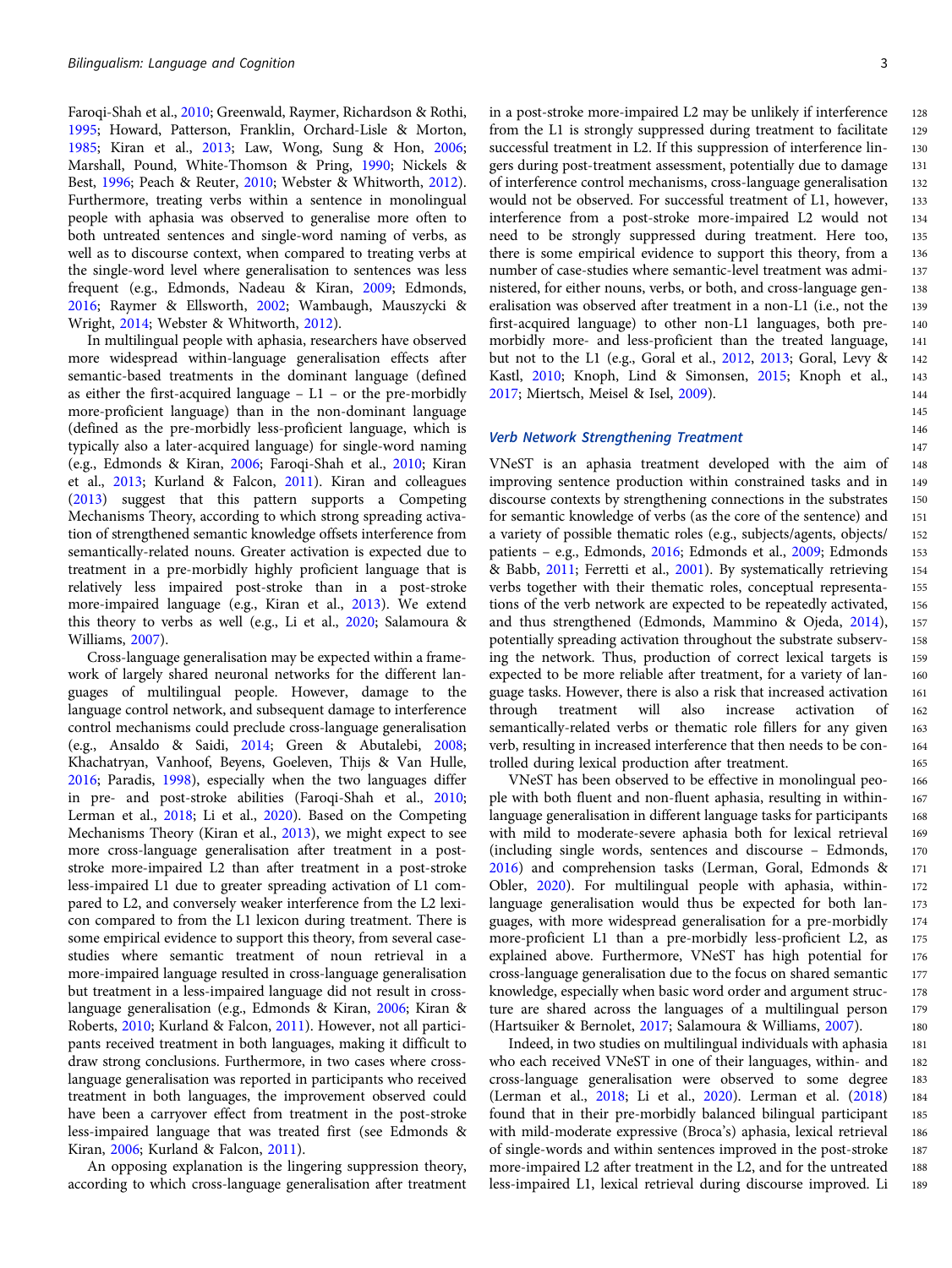Faroqi-Shah et al., [2010](#page-14-0); Greenwald, Raymer, Richardson & Rothi, [1995;](#page-14-0) Howard, Patterson, Franklin, Orchard-Lisle & Morton, [1985;](#page-14-0) Kiran et al., [2013;](#page-14-0) Law, Wong, Sung & Hon, [2006;](#page-14-0) Marshall, Pound, White-Thomson & Pring, [1990](#page-15-0); Nickels & Best, [1996;](#page-15-0) Peach & Reuter, [2010;](#page-15-0) Webster & Whitworth, [2012\)](#page-15-0). Furthermore, treating verbs within a sentence in monolingual people with aphasia was observed to generalise more often to both untreated sentences and single-word naming of verbs, as well as to discourse context, when compared to treating verbs at the single-word level where generalisation to sentences was less frequent (e.g., Edmonds, Nadeau & Kiran, [2009](#page-14-0); Edmonds, [2016;](#page-13-0) Raymer & Ellsworth, [2002;](#page-15-0) Wambaugh, Mauszycki & Wright, [2014](#page-15-0); Webster & Whitworth, [2012\)](#page-15-0).

In multilingual people with aphasia, researchers have observed more widespread within-language generalisation effects after semantic-based treatments in the dominant language (defined as either the first-acquired language – L1 – or the pre-morbidly more-proficient language) than in the non-dominant language (defined as the pre-morbidly less-proficient language, which is typically also a later-acquired language) for single-word naming (e.g., Edmonds & Kiran, [2006;](#page-14-0) Faroqi-Shah et al., [2010](#page-14-0); Kiran et al., [2013](#page-14-0); Kurland & Falcon, [2011](#page-14-0)). Kiran and colleagues ([2013](#page-14-0)) suggest that this pattern supports a Competing Mechanisms Theory, according to which strong spreading activation of strengthened semantic knowledge offsets interference from semantically-related nouns. Greater activation is expected due to treatment in a pre-morbidly highly proficient language that is relatively less impaired post-stroke than in a post-stroke more-impaired language (e.g., Kiran et al., [2013](#page-14-0)). We extend this theory to verbs as well (e.g., Li et al., [2020;](#page-15-0) Salamoura & Williams, [2007](#page-15-0)).

Cross-language generalisation may be expected within a framework of largely shared neuronal networks for the different languages of multilingual people. However, damage to the language control network, and subsequent damage to interference control mechanisms could preclude cross-language generalisation (e.g., Ansaldo & Saidi, [2014](#page-13-0); Green & Abutalebi, [2008;](#page-14-0) Khachatryan, Vanhoof, Beyens, Goeleven, Thijs & Van Hulle, [2016;](#page-14-0) Paradis, [1998\)](#page-15-0), especially when the two languages differ in pre- and post-stroke abilities (Faroqi-Shah et al., [2010;](#page-14-0) Lerman et al., [2018;](#page-14-0) Li et al., [2020](#page-15-0)). Based on the Competing Mechanisms Theory (Kiran et al., [2013\)](#page-14-0), we might expect to see more cross-language generalisation after treatment in a poststroke more-impaired L2 than after treatment in a post-stroke less-impaired L1 due to greater spreading activation of L1 compared to L2, and conversely weaker interference from the L2 lexicon compared to from the L1 lexicon during treatment. There is some empirical evidence to support this theory, from several casestudies where semantic treatment of noun retrieval in a more-impaired language resulted in cross-language generalisation but treatment in a less-impaired language did not result in crosslanguage generalisation (e.g., Edmonds & Kiran, [2006](#page-14-0); Kiran & Roberts, [2010](#page-14-0); Kurland & Falcon, [2011\)](#page-14-0). However, not all participants received treatment in both languages, making it difficult to draw strong conclusions. Furthermore, in two cases where crosslanguage generalisation was reported in participants who received treatment in both languages, the improvement observed could have been a carryover effect from treatment in the post-stroke less-impaired language that was treated first (see Edmonds & Kiran, [2006](#page-14-0); Kurland & Falcon, [2011\)](#page-14-0).

An opposing explanation is the lingering suppression theory, according to which cross-language generalisation after treatment 128 129

135 136

140 141 142

in a post-stroke more-impaired L2 may be unlikely if interference from the L1 is strongly suppressed during treatment to facilitate successful treatment in L2. If this suppression of interference lingers during post-treatment assessment, potentially due to damage of interference control mechanisms, cross-language generalisation would not be observed. For successful treatment of L1, however, interference from a post-stroke more-impaired L2 would not need to be strongly suppressed during treatment. Here too, there is some empirical evidence to support this theory, from a number of case-studies where semantic-level treatment was administered, for either nouns, verbs, or both, and cross-language generalisation was observed after treatment in a non-L1 (i.e., not the first-acquired language) to other non-L1 languages, both premorbidly more- and less-proficient than the treated language, but not to the L1 (e.g., Goral et al., [2012,](#page-14-0) [2013](#page-14-0); Goral, Levy & Kastl, [2010](#page-14-0); Knoph, Lind & Simonsen, [2015](#page-14-0); Knoph et al., [2017](#page-14-0); Miertsch, Meisel & Isel, [2009\)](#page-15-0). 130 131 132 133 134 137 138 139 143 144

#### Verb Network Strengthening Treatment

VNeST is an aphasia treatment developed with the aim of improving sentence production within constrained tasks and in discourse contexts by strengthening connections in the substrates for semantic knowledge of verbs (as the core of the sentence) and a variety of possible thematic roles (e.g., subjects/agents, objects/ patients – e.g., Edmonds, [2016;](#page-13-0) Edmonds et al., [2009;](#page-14-0) Edmonds & Babb, [2011](#page-13-0); Ferretti et al., [2001\)](#page-14-0). By systematically retrieving verbs together with their thematic roles, conceptual representations of the verb network are expected to be repeatedly activated, and thus strengthened (Edmonds, Mammino & Ojeda, [2014](#page-14-0)), potentially spreading activation throughout the substrate subserving the network. Thus, production of correct lexical targets is expected to be more reliable after treatment, for a variety of language tasks. However, there is also a risk that increased activation through treatment will also increase activation of semantically-related verbs or thematic role fillers for any given verb, resulting in increased interference that then needs to be controlled during lexical production after treatment.

VNeST has been observed to be effective in monolingual people with both fluent and non-fluent aphasia, resulting in withinlanguage generalisation in different language tasks for participants with mild to moderate-severe aphasia both for lexical retrieval (including single words, sentences and discourse – Edmonds, [2016](#page-13-0)) and comprehension tasks (Lerman, Goral, Edmonds & Obler, [2020](#page-15-0)). For multilingual people with aphasia, withinlanguage generalisation would thus be expected for both languages, with more widespread generalisation for a pre-morbidly more-proficient L1 than a pre-morbidly less-proficient L2, as explained above. Furthermore, VNeST has high potential for cross-language generalisation due to the focus on shared semantic knowledge, especially when basic word order and argument structure are shared across the languages of a multilingual person (Hartsuiker & Bernolet, [2017;](#page-14-0) Salamoura & Williams, [2007\)](#page-15-0).

Indeed, in two studies on multilingual individuals with aphasia who each received VNeST in one of their languages, within- and cross-language generalisation were observed to some degree (Lerman et al., [2018](#page-14-0); Li et al., [2020\)](#page-15-0). Lerman et al. [\(2018](#page-14-0)) found that in their pre-morbidly balanced bilingual participant with mild-moderate expressive (Broca's) aphasia, lexical retrieval of single-words and within sentences improved in the post-stroke more-impaired L2 after treatment in the L2, and for the untreated less-impaired L1, lexical retrieval during discourse improved. Li 181 182 183 184 185 186 187 188 189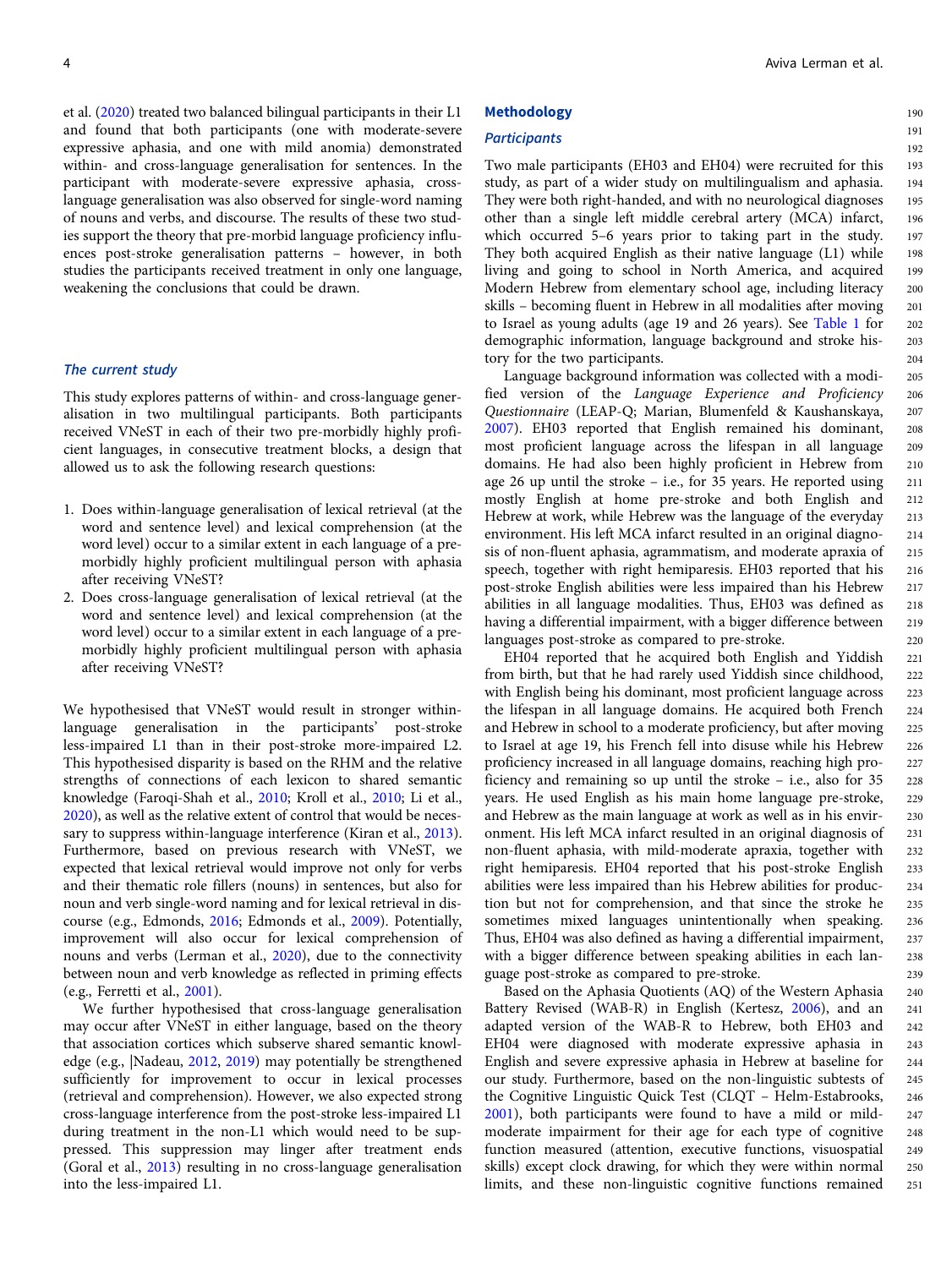et al. ([2020](#page-15-0)) treated two balanced bilingual participants in their L1 and found that both participants (one with moderate-severe expressive aphasia, and one with mild anomia) demonstrated within- and cross-language generalisation for sentences. In the participant with moderate-severe expressive aphasia, crosslanguage generalisation was also observed for single-word naming of nouns and verbs, and discourse. The results of these two studies support the theory that pre-morbid language proficiency influences post-stroke generalisation patterns – however, in both studies the participants received treatment in only one language, weakening the conclusions that could be drawn.

#### The current study

This study explores patterns of within- and cross-language generalisation in two multilingual participants. Both participants received VNeST in each of their two pre-morbidly highly proficient languages, in consecutive treatment blocks, a design that allowed us to ask the following research questions:

- 1. Does within-language generalisation of lexical retrieval (at the word and sentence level) and lexical comprehension (at the word level) occur to a similar extent in each language of a premorbidly highly proficient multilingual person with aphasia after receiving VNeST?
- 2. Does cross-language generalisation of lexical retrieval (at the word and sentence level) and lexical comprehension (at the word level) occur to a similar extent in each language of a premorbidly highly proficient multilingual person with aphasia after receiving VNeST?

We hypothesised that VNeST would result in stronger withinlanguage generalisation in the participants' post-stroke less-impaired L1 than in their post-stroke more-impaired L2. This hypothesised disparity is based on the RHM and the relative strengths of connections of each lexicon to shared semantic knowledge (Faroqi-Shah et al., [2010;](#page-14-0) Kroll et al., [2010](#page-14-0); Li et al., [2020\)](#page-15-0), as well as the relative extent of control that would be necessary to suppress within-language interference (Kiran et al., [2013\)](#page-14-0). Furthermore, based on previous research with VNeST, we expected that lexical retrieval would improve not only for verbs and their thematic role fillers (nouns) in sentences, but also for noun and verb single-word naming and for lexical retrieval in discourse (e.g., Edmonds, [2016](#page-13-0); Edmonds et al., [2009\)](#page-14-0). Potentially, improvement will also occur for lexical comprehension of nouns and verbs (Lerman et al., [2020\)](#page-15-0), due to the connectivity between noun and verb knowledge as reflected in priming effects (e.g., Ferretti et al., [2001\)](#page-14-0).

We further hypothesised that cross-language generalisation may occur after VNeST in either language, based on the theory that association cortices which subserve shared semantic knowledge (e.g., |Nadeau, [2012](#page-15-0), [2019](#page-15-0)) may potentially be strengthened sufficiently for improvement to occur in lexical processes (retrieval and comprehension). However, we also expected strong cross-language interference from the post-stroke less-impaired L1 during treatment in the non-L1 which would need to be suppressed. This suppression may linger after treatment ends (Goral et al., [2013](#page-14-0)) resulting in no cross-language generalisation into the less-impaired L1.

## Methodology

## **Participants**

Two male participants (EH03 and EH04) were recruited for this study, as part of a wider study on multilingualism and aphasia. They were both right-handed, and with no neurological diagnoses other than a single left middle cerebral artery (MCA) infarct, which occurred 5–6 years prior to taking part in the study. They both acquired English as their native language (L1) while living and going to school in North America, and acquired Modern Hebrew from elementary school age, including literacy skills – becoming fluent in Hebrew in all modalities after moving to Israel as young adults (age 19 and 26 years). See [Table 1](#page-5-0) for demographic information, language background and stroke history for the two participants.

Language background information was collected with a modified version of the Language Experience and Proficiency Questionnaire (LEAP-Q; Marian, Blumenfeld & Kaushanskaya, [2007\)](#page-15-0). EH03 reported that English remained his dominant, most proficient language across the lifespan in all language domains. He had also been highly proficient in Hebrew from age 26 up until the stroke – i.e., for 35 years. He reported using mostly English at home pre-stroke and both English and Hebrew at work, while Hebrew was the language of the everyday environment. His left MCA infarct resulted in an original diagnosis of non-fluent aphasia, agrammatism, and moderate apraxia of speech, together with right hemiparesis. EH03 reported that his post-stroke English abilities were less impaired than his Hebrew abilities in all language modalities. Thus, EH03 was defined as having a differential impairment, with a bigger difference between languages post-stroke as compared to pre-stroke. 206 207 208 210 211 212 213 214 215 216 217 218 219  $220$ 

EH04 reported that he acquired both English and Yiddish from birth, but that he had rarely used Yiddish since childhood, with English being his dominant, most proficient language across the lifespan in all language domains. He acquired both French and Hebrew in school to a moderate proficiency, but after moving to Israel at age 19, his French fell into disuse while his Hebrew proficiency increased in all language domains, reaching high proficiency and remaining so up until the stroke – i.e., also for 35 years. He used English as his main home language pre-stroke, and Hebrew as the main language at work as well as in his environment. His left MCA infarct resulted in an original diagnosis of non-fluent aphasia, with mild-moderate apraxia, together with right hemiparesis. EH04 reported that his post-stroke English abilities were less impaired than his Hebrew abilities for production but not for comprehension, and that since the stroke he sometimes mixed languages unintentionally when speaking. Thus, EH04 was also defined as having a differential impairment, with a bigger difference between speaking abilities in each language post-stroke as compared to pre-stroke.

Based on the Aphasia Quotients (AQ) of the Western Aphasia Battery Revised (WAB-R) in English (Kertesz, [2006\)](#page-14-0), and an adapted version of the WAB-R to Hebrew, both EH03 and EH04 were diagnosed with moderate expressive aphasia in English and severe expressive aphasia in Hebrew at baseline for our study. Furthermore, based on the non-linguistic subtests of the Cognitive Linguistic Quick Test (CLQT – Helm-Estabrooks, [2001\)](#page-14-0), both participants were found to have a mild or mildmoderate impairment for their age for each type of cognitive function measured (attention, executive functions, visuospatial skills) except clock drawing, for which they were within normal limits, and these non-linguistic cognitive functions remained 240 241 242 243 244 245 246 247 248 249 250 251

190 191 192

209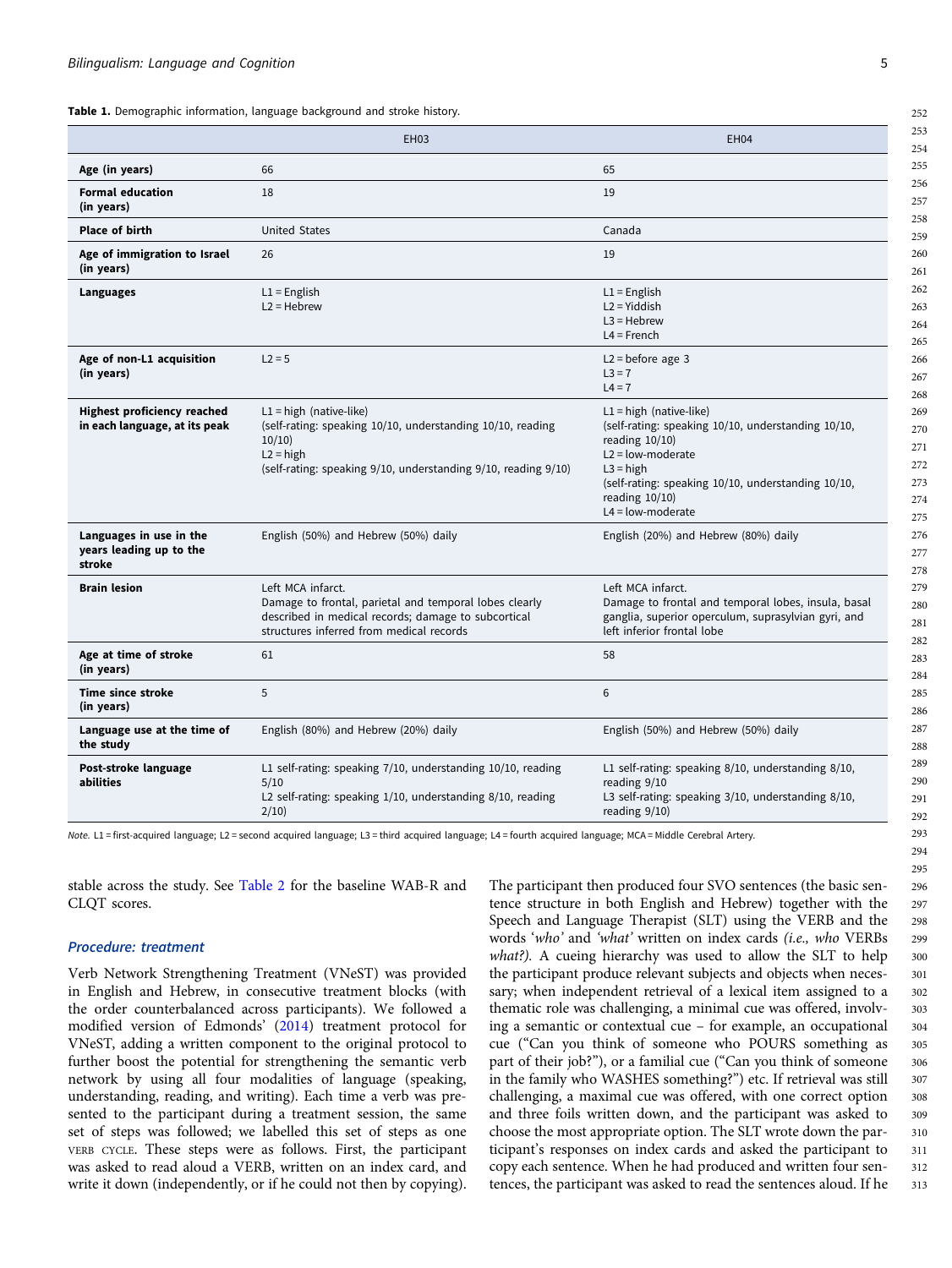<span id="page-5-0"></span>

|                                                                     | <b>EH03</b>                                                                                                                                                                       | EH <sub>04</sub>                                                                                                                                                                                                                               |
|---------------------------------------------------------------------|-----------------------------------------------------------------------------------------------------------------------------------------------------------------------------------|------------------------------------------------------------------------------------------------------------------------------------------------------------------------------------------------------------------------------------------------|
| Age (in years)                                                      | 66                                                                                                                                                                                | 65                                                                                                                                                                                                                                             |
| <b>Formal education</b><br>(in years)                               | 18                                                                                                                                                                                | 19                                                                                                                                                                                                                                             |
| <b>Place of birth</b>                                               | <b>United States</b>                                                                                                                                                              | Canada                                                                                                                                                                                                                                         |
| Age of immigration to Israel<br>(in years)                          | 26                                                                                                                                                                                | 19                                                                                                                                                                                                                                             |
| Languages                                                           | $L1 =$ English<br>$L2 = Hebrew$                                                                                                                                                   | $L1 =$ English<br>$L2 = Yiddish$<br>$L3 = Hebrew$<br>$L4 =$ French                                                                                                                                                                             |
| Age of non-L1 acquisition<br>(in years)                             | $L2 = 5$                                                                                                                                                                          | $L2 = before age 3$<br>$L3 = 7$<br>$L4 = 7$                                                                                                                                                                                                    |
| <b>Highest proficiency reached</b><br>in each language, at its peak | $L1 = high (native-like)$<br>(self-rating: speaking 10/10, understanding 10/10, reading<br>10/10<br>$L2 = high$<br>(self-rating: speaking 9/10, understanding 9/10, reading 9/10) | $L1 = high (native-like)$<br>(self-rating: speaking 10/10, understanding 10/10,<br>reading $10/10$ )<br>$L2 = low-mode rate$<br>$L3 = high$<br>(self-rating: speaking 10/10, understanding 10/10,<br>reading $10/10$ )<br>$L4 = low-mode rate$ |
| Languages in use in the<br>years leading up to the<br>stroke        | English (50%) and Hebrew (50%) daily                                                                                                                                              | English (20%) and Hebrew (80%) daily                                                                                                                                                                                                           |
| <b>Brain lesion</b>                                                 | Left MCA infarct.<br>Damage to frontal, parietal and temporal lobes clearly<br>described in medical records; damage to subcortical<br>structures inferred from medical records    | Left MCA infarct.<br>Damage to frontal and temporal lobes, insula, basal<br>ganglia, superior operculum, suprasylvian gyri, and<br>left inferior frontal lobe                                                                                  |
| Age at time of stroke<br>(in years)                                 | 61                                                                                                                                                                                | 58                                                                                                                                                                                                                                             |
| <b>Time since stroke</b><br>(in years)                              | 5                                                                                                                                                                                 | 6                                                                                                                                                                                                                                              |
| Language use at the time of<br>the study                            | English (80%) and Hebrew (20%) daily                                                                                                                                              | English (50%) and Hebrew (50%) daily                                                                                                                                                                                                           |
| Post-stroke language<br>abilities                                   | L1 self-rating: speaking 7/10, understanding 10/10, reading<br>5/10<br>L2 self-rating: speaking 1/10, understanding 8/10, reading<br>2/10                                         | L1 self-rating: speaking 8/10, understanding 8/10,<br>reading 9/10<br>L3 self-rating: speaking 3/10, understanding 8/10,<br>reading $9/10$ )                                                                                                   |

Note. L1 = first-acquired language; L2 = second acquired language; L3 = third acquired language; L4 = fourth acquired language; MCA = Middle Cerebral Artery.

stable across the study. See [Table 2](#page-6-0) for the baseline WAB-R and CLQT scores.

## Procedure: treatment

Verb Network Strengthening Treatment (VNeST) was provided in English and Hebrew, in consecutive treatment blocks (with the order counterbalanced across participants). We followed a modified version of Edmonds' ([2014](#page-13-0)) treatment protocol for VNeST, adding a written component to the original protocol to further boost the potential for strengthening the semantic verb network by using all four modalities of language (speaking, understanding, reading, and writing). Each time a verb was presented to the participant during a treatment session, the same set of steps was followed; we labelled this set of steps as one VERB CYCLE. These steps were as follows. First, the participant was asked to read aloud a VERB, written on an index card, and write it down (independently, or if he could not then by copying).

The participant then produced four SVO sentences (the basic sentence structure in both English and Hebrew) together with the Speech and Language Therapist (SLT) using the VERB and the words 'who' and 'what' written on index cards (i.e., who VERBs what?). A cueing hierarchy was used to allow the SLT to help the participant produce relevant subjects and objects when necessary; when independent retrieval of a lexical item assigned to a thematic role was challenging, a minimal cue was offered, involving a semantic or contextual cue – for example, an occupational cue ("Can you think of someone who POURS something as part of their job?"), or a familial cue ("Can you think of someone in the family who WASHES something?") etc. If retrieval was still challenging, a maximal cue was offered, with one correct option and three foils written down, and the participant was asked to choose the most appropriate option. The SLT wrote down the participant's responses on index cards and asked the participant to copy each sentence. When he had produced and written four sentences, the participant was asked to read the sentences aloud. If he 296 297 298 299 300 301 302 303 304 305 306 307 308 309 310 311 312 313

252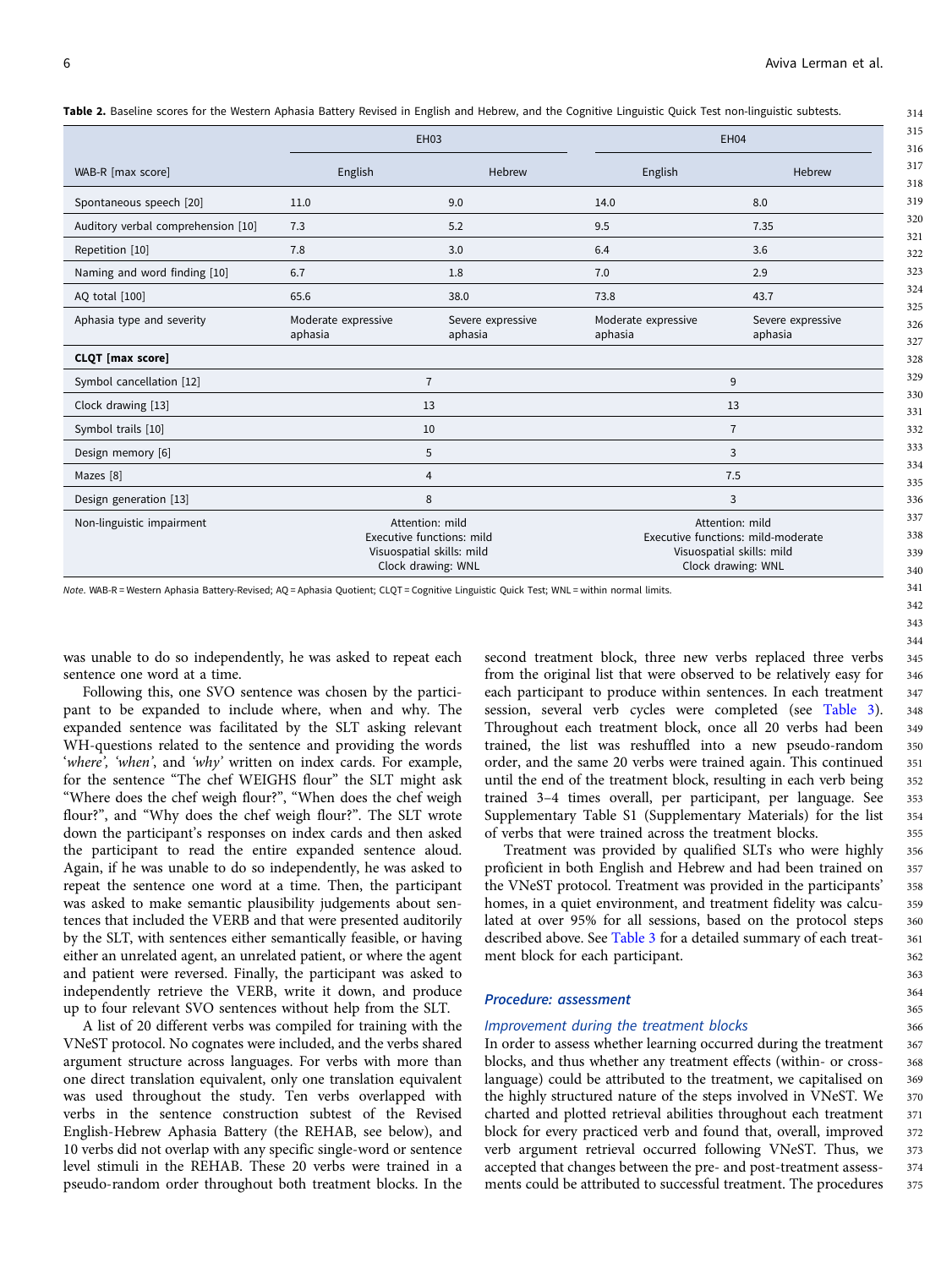<span id="page-6-0"></span>Table 2. Baseline scores for the Western Aphasia Battery Revised in English and Hebrew, and the Cognitive Linguistic Quick Test non-linguistic subtests.

|                                    |                                                                                                                                                                                                             | <b>EH03</b>                  | <b>EH04</b>                    |                              |  |  |  |
|------------------------------------|-------------------------------------------------------------------------------------------------------------------------------------------------------------------------------------------------------------|------------------------------|--------------------------------|------------------------------|--|--|--|
| WAB-R [max score]                  | English                                                                                                                                                                                                     | Hebrew                       | English                        | Hebrew                       |  |  |  |
| Spontaneous speech [20]            | 11.0                                                                                                                                                                                                        | 9.0                          | 14.0                           | 8.0                          |  |  |  |
| Auditory verbal comprehension [10] | 7.3                                                                                                                                                                                                         | 5.2                          | 9.5                            | 7.35                         |  |  |  |
| Repetition [10]                    | 7.8                                                                                                                                                                                                         | 3.0                          | 6.4                            | 3.6                          |  |  |  |
| Naming and word finding [10]       | 6.7                                                                                                                                                                                                         | 1.8                          | 7.0                            | 2.9                          |  |  |  |
| AQ total [100]                     | 65.6                                                                                                                                                                                                        | 38.0                         | 73.8                           | 43.7                         |  |  |  |
| Aphasia type and severity          | Moderate expressive<br>aphasia                                                                                                                                                                              | Severe expressive<br>aphasia | Moderate expressive<br>aphasia | Severe expressive<br>aphasia |  |  |  |
| CLQT [max score]                   |                                                                                                                                                                                                             |                              |                                |                              |  |  |  |
| Symbol cancellation [12]           |                                                                                                                                                                                                             | $\overline{7}$               |                                | 9                            |  |  |  |
| Clock drawing [13]                 |                                                                                                                                                                                                             | 13                           |                                | 13                           |  |  |  |
| Symbol trails [10]                 |                                                                                                                                                                                                             | 10                           |                                | $\overline{7}$               |  |  |  |
| Design memory [6]                  |                                                                                                                                                                                                             | 5                            |                                | 3                            |  |  |  |
| Mazes [8]                          |                                                                                                                                                                                                             | $\overline{4}$               |                                | 7.5                          |  |  |  |
| Design generation [13]             |                                                                                                                                                                                                             | 8                            | 3                              |                              |  |  |  |
| Non-linguistic impairment          | Attention: mild<br>Attention: mild<br>Executive functions: mild<br>Executive functions: mild-moderate<br>Visuospatial skills: mild<br>Visuospatial skills: mild<br>Clock drawing: WNL<br>Clock drawing: WNL |                              |                                |                              |  |  |  |

Note. WAB-R = Western Aphasia Battery-Revised; AQ = Aphasia Quotient; CLQT = Cognitive Linguistic Quick Test; WNL = within normal limits.

was unable to do so independently, he was asked to repeat each sentence one word at a time.

Following this, one SVO sentence was chosen by the participant to be expanded to include where, when and why. The expanded sentence was facilitated by the SLT asking relevant WH-questions related to the sentence and providing the words 'where', 'when', and 'why' written on index cards. For example, for the sentence "The chef WEIGHS flour" the SLT might ask "Where does the chef weigh flour?", "When does the chef weigh flour?", and "Why does the chef weigh flour?". The SLT wrote down the participant's responses on index cards and then asked the participant to read the entire expanded sentence aloud. Again, if he was unable to do so independently, he was asked to repeat the sentence one word at a time. Then, the participant was asked to make semantic plausibility judgements about sentences that included the VERB and that were presented auditorily by the SLT, with sentences either semantically feasible, or having either an unrelated agent, an unrelated patient, or where the agent and patient were reversed. Finally, the participant was asked to independently retrieve the VERB, write it down, and produce up to four relevant SVO sentences without help from the SLT.

A list of 20 different verbs was compiled for training with the VNeST protocol. No cognates were included, and the verbs shared argument structure across languages. For verbs with more than one direct translation equivalent, only one translation equivalent was used throughout the study. Ten verbs overlapped with verbs in the sentence construction subtest of the Revised English-Hebrew Aphasia Battery (the REHAB, see below), and 10 verbs did not overlap with any specific single-word or sentence level stimuli in the REHAB. These 20 verbs were trained in a pseudo-random order throughout both treatment blocks. In the second treatment block, three new verbs replaced three verbs from the original list that were observed to be relatively easy for each participant to produce within sentences. In each treatment session, several verb cycles were completed (see [Table 3](#page-7-0)). Throughout each treatment block, once all 20 verbs had been trained, the list was reshuffled into a new pseudo-random order, and the same 20 verbs were trained again. This continued until the end of the treatment block, resulting in each verb being trained 3–4 times overall, per participant, per language. See Supplementary Table S1 (Supplementary Materials) for the list of verbs that were trained across the treatment blocks.

Treatment was provided by qualified SLTs who were highly proficient in both English and Hebrew and had been trained on the VNeST protocol. Treatment was provided in the participants' homes, in a quiet environment, and treatment fidelity was calculated at over 95% for all sessions, based on the protocol steps described above. See [Table 3](#page-7-0) for a detailed summary of each treatment block for each participant.

#### Procedure: assessment

#### Improvement during the treatment blocks

In order to assess whether learning occurred during the treatment blocks, and thus whether any treatment effects (within- or crosslanguage) could be attributed to the treatment, we capitalised on the highly structured nature of the steps involved in VNeST. We charted and plotted retrieval abilities throughout each treatment block for every practiced verb and found that, overall, improved verb argument retrieval occurred following VNeST. Thus, we accepted that changes between the pre- and post-treatment assessments could be attributed to successful treatment. The procedures 367 368 369 370 371 372 373 374 375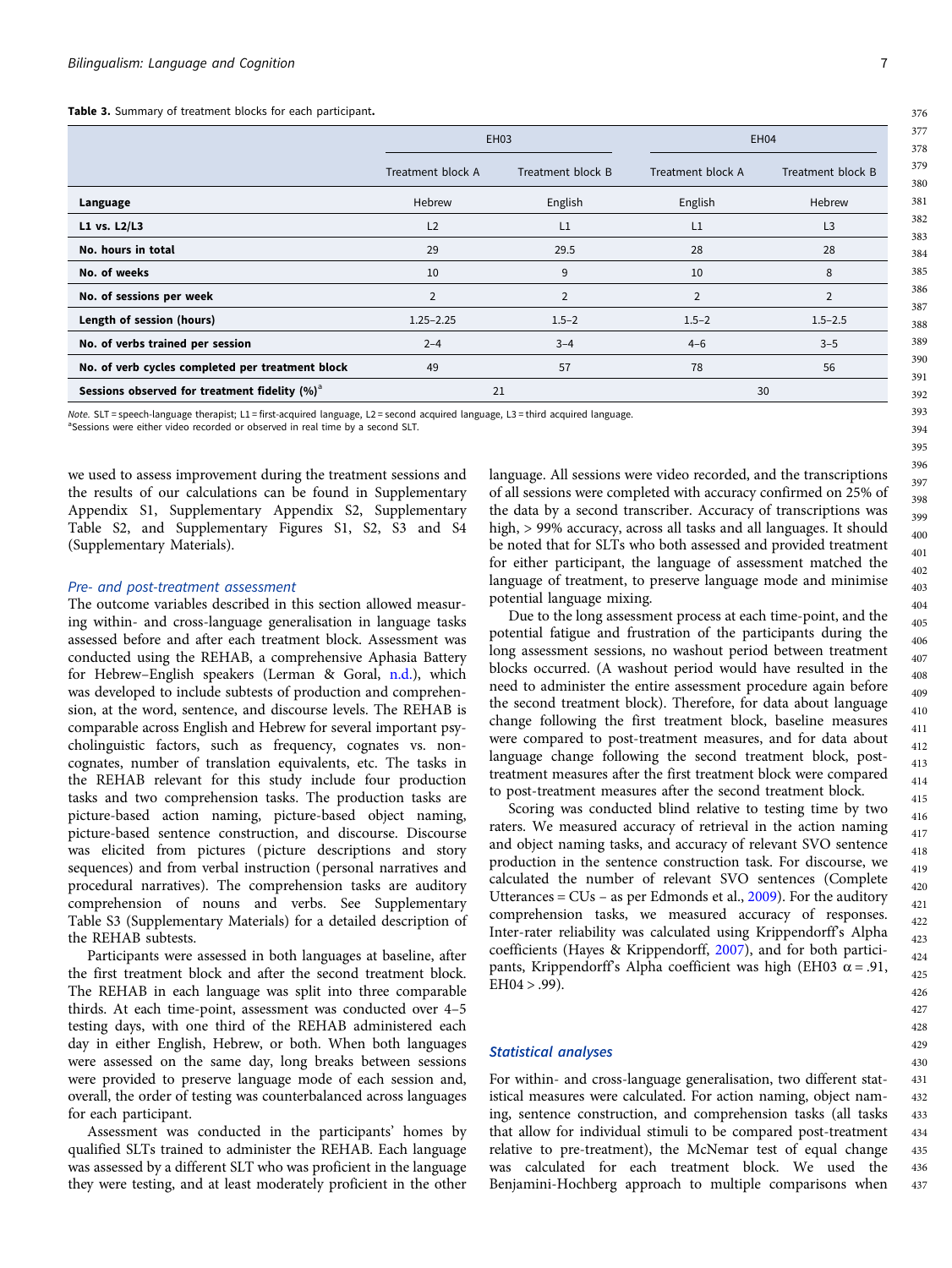<span id="page-7-0"></span>Table 3. Summary of treatment blocks for each participant.

|                                                           | <b>EH03</b>       |                   |                   | <b>EH04</b>       |  |  |
|-----------------------------------------------------------|-------------------|-------------------|-------------------|-------------------|--|--|
|                                                           | Treatment block A | Treatment block B | Treatment block A | Treatment block B |  |  |
| Language                                                  | Hebrew            | English           | English           | Hebrew            |  |  |
| L1 vs. L2/L3                                              | L <sub>2</sub>    | L1                | L1                | L3                |  |  |
| No. hours in total                                        | 29                | 29.5              | 28                | 28                |  |  |
| No. of weeks                                              | 10                | 9                 | 10                | 8                 |  |  |
| No. of sessions per week                                  | 2                 | $\overline{2}$    | $\overline{2}$    | 2                 |  |  |
| Length of session (hours)                                 | $1.25 - 2.25$     | $1.5 - 2$         | $1.5 - 2$         | $1.5 - 2.5$       |  |  |
| No. of verbs trained per session                          | $2 - 4$           | $3 - 4$           | $4 - 6$           | $3 - 5$           |  |  |
| No. of verb cycles completed per treatment block          | 49                | 57                | 78                | 56                |  |  |
| Sessions observed for treatment fidelity (%) <sup>a</sup> | 21                |                   | 30                |                   |  |  |

Note. SLT = speech-language therapist; L1 = first-acquired language, L2 = second acquired language, L3 = third acquired language.

<sup>a</sup>Sessions were either video recorded or observed in real time by a second SLT.

we used to assess improvement during the treatment sessions and the results of our calculations can be found in Supplementary Appendix S1, Supplementary Appendix S2, Supplementary Table S2, and Supplementary Figures S1, S2, S3 and S4 (Supplementary Materials).

#### Pre- and post-treatment assessment

The outcome variables described in this section allowed measuring within- and cross-language generalisation in language tasks assessed before and after each treatment block. Assessment was conducted using the REHAB, a comprehensive Aphasia Battery for Hebrew–English speakers (Lerman & Goral, [n.d.](#page-14-0)), which was developed to include subtests of production and comprehension, at the word, sentence, and discourse levels. The REHAB is comparable across English and Hebrew for several important psycholinguistic factors, such as frequency, cognates vs. noncognates, number of translation equivalents, etc. The tasks in the REHAB relevant for this study include four production tasks and two comprehension tasks. The production tasks are picture-based action naming, picture-based object naming, picture-based sentence construction, and discourse. Discourse was elicited from pictures (picture descriptions and story sequences) and from verbal instruction (personal narratives and procedural narratives). The comprehension tasks are auditory comprehension of nouns and verbs. See Supplementary Table S3 (Supplementary Materials) for a detailed description of the REHAB subtests.

Participants were assessed in both languages at baseline, after the first treatment block and after the second treatment block. The REHAB in each language was split into three comparable thirds. At each time-point, assessment was conducted over 4–5 testing days, with one third of the REHAB administered each day in either English, Hebrew, or both. When both languages were assessed on the same day, long breaks between sessions were provided to preserve language mode of each session and, overall, the order of testing was counterbalanced across languages for each participant.

Assessment was conducted in the participants' homes by qualified SLTs trained to administer the REHAB. Each language was assessed by a different SLT who was proficient in the language they were testing, and at least moderately proficient in the other language. All sessions were video recorded, and the transcriptions of all sessions were completed with accuracy confirmed on 25% of the data by a second transcriber. Accuracy of transcriptions was high, > 99% accuracy, across all tasks and all languages. It should be noted that for SLTs who both assessed and provided treatment for either participant, the language of assessment matched the language of treatment, to preserve language mode and minimise potential language mixing.

Due to the long assessment process at each time-point, and the potential fatigue and frustration of the participants during the long assessment sessions, no washout period between treatment blocks occurred. (A washout period would have resulted in the need to administer the entire assessment procedure again before the second treatment block). Therefore, for data about language change following the first treatment block, baseline measures were compared to post-treatment measures, and for data about language change following the second treatment block, posttreatment measures after the first treatment block were compared to post-treatment measures after the second treatment block.

Scoring was conducted blind relative to testing time by two raters. We measured accuracy of retrieval in the action naming and object naming tasks, and accuracy of relevant SVO sentence production in the sentence construction task. For discourse, we calculated the number of relevant SVO sentences (Complete Utterances = CUs – as per Edmonds et al., [2009](#page-14-0)). For the auditory comprehension tasks, we measured accuracy of responses. Inter-rater reliability was calculated using Krippendorff's Alpha coefficients (Hayes & Krippendorff, [2007\)](#page-14-0), and for both participants, Krippendorff's Alpha coefficient was high (EH03 α = .91,  $EH04 > .99$ ).

## Statistical analyses

For within- and cross-language generalisation, two different statistical measures were calculated. For action naming, object naming, sentence construction, and comprehension tasks (all tasks that allow for individual stimuli to be compared post-treatment relative to pre-treatment), the McNemar test of equal change was calculated for each treatment block. We used the Benjamini-Hochberg approach to multiple comparisons when

376 377 378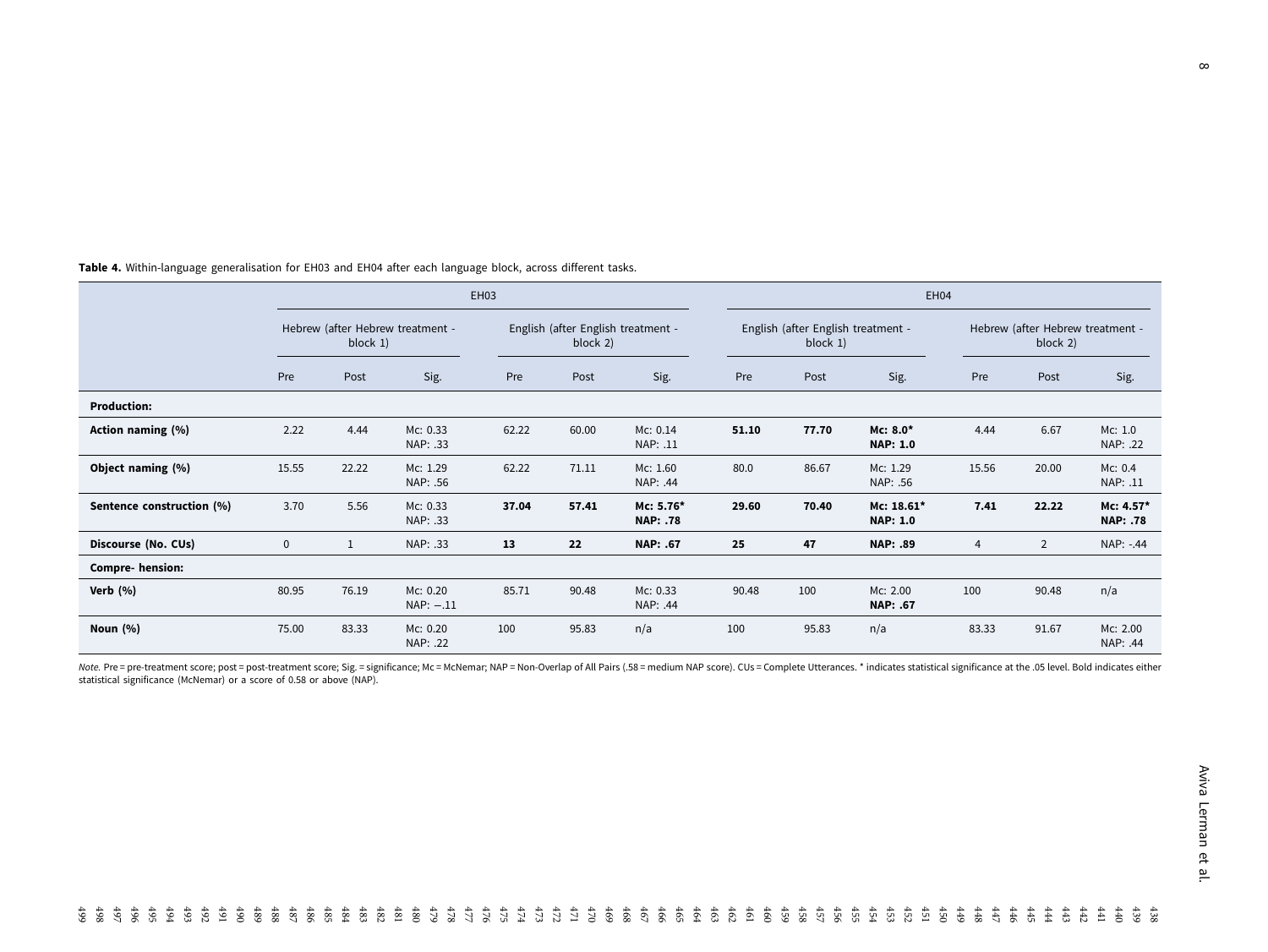|                           |                                              | EH03  |                         |                                                |       |                              |                                                | EH04  |                               |                                              |       |                              |  |
|---------------------------|----------------------------------------------|-------|-------------------------|------------------------------------------------|-------|------------------------------|------------------------------------------------|-------|-------------------------------|----------------------------------------------|-------|------------------------------|--|
|                           | Hebrew (after Hebrew treatment -<br>block 1) |       |                         | English (after English treatment -<br>block 2) |       |                              | English (after English treatment -<br>block 1) |       |                               | Hebrew (after Hebrew treatment -<br>block 2) |       |                              |  |
|                           | Pre                                          | Post  | Sig.                    | Pre                                            | Post  | Sig.                         | Pre                                            | Post  | Sig.                          | Pre                                          | Post  | Sig.                         |  |
| <b>Production:</b>        |                                              |       |                         |                                                |       |                              |                                                |       |                               |                                              |       |                              |  |
| Action naming (%)         | 2.22                                         | 4.44  | Mc: 0.33<br>NAP: .33    | 62.22                                          | 60.00 | Mc: 0.14<br>NAP: .11         | 51.10                                          | 77.70 | $Mc: 8.0*$<br><b>NAP: 1.0</b> | 4.44                                         | 6.67  | Mc: 1.0<br>NAP: .22          |  |
| Object naming (%)         | 15.55                                        | 22.22 | Mc: 1.29<br>NAP: .56    | 62.22                                          | 71.11 | Mc: 1.60<br>NAP: .44         | 80.0                                           | 86.67 | Mc: 1.29<br>NAP: .56          | 15.56                                        | 20.00 | Mc: 0.4<br>NAP: .11          |  |
| Sentence construction (%) | 3.70                                         | 5.56  | Mc: 0.33<br>NAP: .33    | 37.04                                          | 57.41 | Mc: 5.76*<br><b>NAP: .78</b> | 29.60                                          | 70.40 | Mc: 18.61*<br><b>NAP: 1.0</b> | 7.41                                         | 22.22 | Mc: 4.57*<br><b>NAP: .78</b> |  |
| Discourse (No. CUs)       | 0                                            | 1     | NAP: .33                | 13                                             | 22    | NAP: .67                     | 25                                             | 47    | <b>NAP: .89</b>               | 4                                            | 2     | NAP: -.44                    |  |
| <b>Compre- hension:</b>   |                                              |       |                         |                                                |       |                              |                                                |       |                               |                                              |       |                              |  |
| Verb $(%)$                | 80.95                                        | 76.19 | Mc: 0.20<br>$NAP: -.11$ | 85.71                                          | 90.48 | Mc: 0.33<br>NAP: .44         | 90.48                                          | 100   | Mc: 2.00<br>NAP: .67          | 100                                          | 90.48 | n/a                          |  |
| Noun $(%)$                | 75.00                                        | 83.33 | Mc: 0.20<br>NAP: .22    | 100                                            | 95.83 | n/a                          | 100                                            | 95.83 | n/a                           | 83.33                                        | 91.67 | Mc: 2.00<br>NAP: .44         |  |

<span id="page-8-0"></span>Table 4. Within-language generalisation for EH03 and EH04 after each language block, across different tasks.

Note. Pre = pre-treatment score; post = post-treatment score; Sig. = significance; Mc = McNemar; NAP = Non-Overlap of All Pairs (.58 = medium NAP score). CUs = Complete Utterances. \* indicates statistical significance at t statistical significance (McNemar) or <sup>a</sup> score of 0.58 or above (NAP).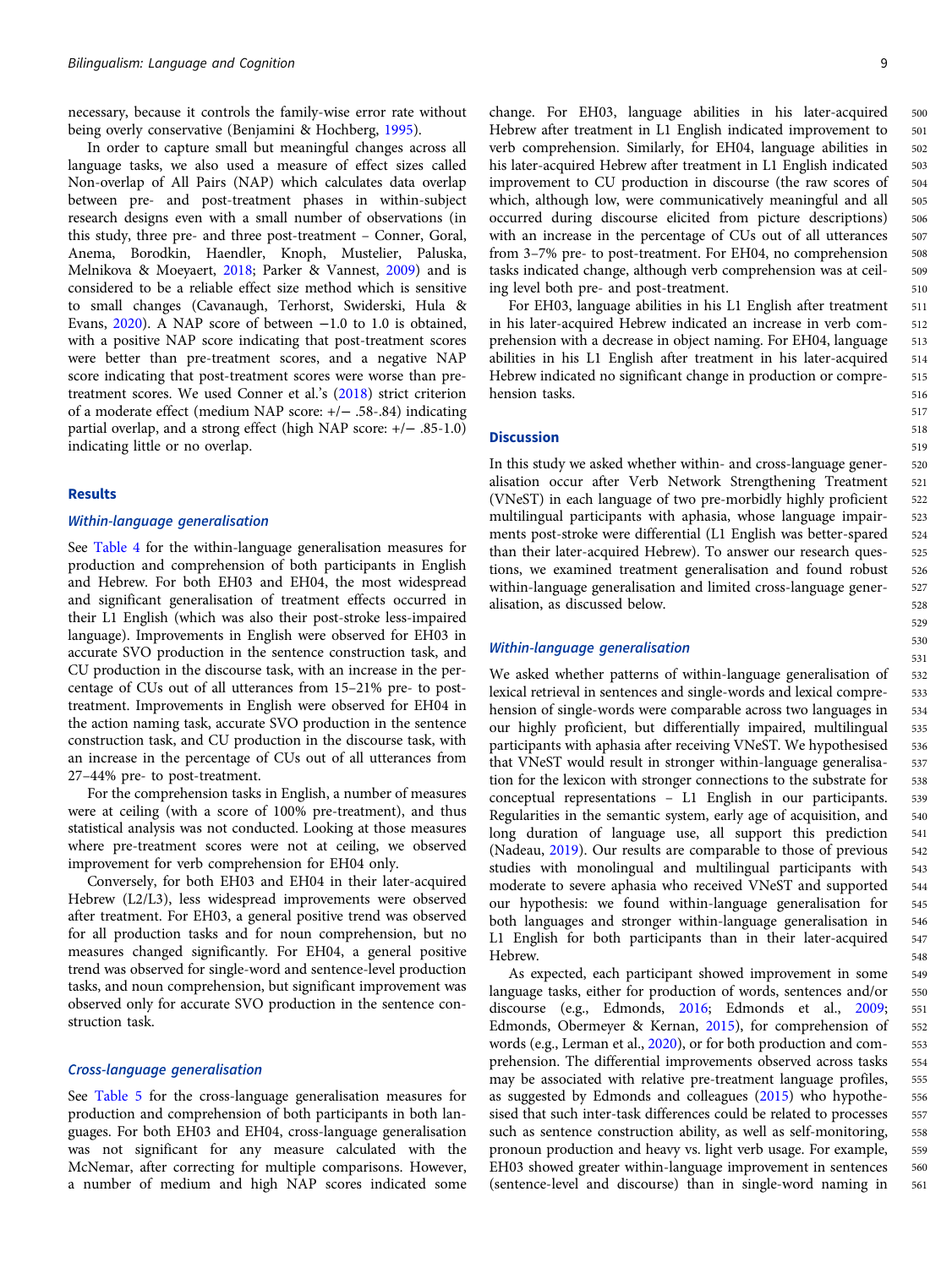necessary, because it controls the family-wise error rate without being overly conservative (Benjamini & Hochberg, [1995\)](#page-13-0).

In order to capture small but meaningful changes across all language tasks, we also used a measure of effect sizes called Non-overlap of All Pairs (NAP) which calculates data overlap between pre- and post-treatment phases in within-subject research designs even with a small number of observations (in this study, three pre- and three post-treatment – Conner, Goral, Anema, Borodkin, Haendler, Knoph, Mustelier, Paluska, Melnikova & Moeyaert, [2018;](#page-13-0) Parker & Vannest, [2009\)](#page-15-0) and is considered to be a reliable effect size method which is sensitive to small changes (Cavanaugh, Terhorst, Swiderski, Hula & Evans, [2020](#page-13-0)). A NAP score of between −1.0 to 1.0 is obtained, with a positive NAP score indicating that post-treatment scores were better than pre-treatment scores, and a negative NAP score indicating that post-treatment scores were worse than pretreatment scores. We used Conner et al.'s ([2018](#page-13-0)) strict criterion of a moderate effect (medium NAP score: +/− .58-.84) indicating partial overlap, and a strong effect (high NAP score: +/− .85-1.0) indicating little or no overlap.

## Results

## Within-language generalisation

See [Table 4](#page-8-0) for the within-language generalisation measures for production and comprehension of both participants in English and Hebrew. For both EH03 and EH04, the most widespread and significant generalisation of treatment effects occurred in their L1 English (which was also their post-stroke less-impaired language). Improvements in English were observed for EH03 in accurate SVO production in the sentence construction task, and CU production in the discourse task, with an increase in the percentage of CUs out of all utterances from 15–21% pre- to posttreatment. Improvements in English were observed for EH04 in the action naming task, accurate SVO production in the sentence construction task, and CU production in the discourse task, with an increase in the percentage of CUs out of all utterances from 27–44% pre- to post-treatment.

For the comprehension tasks in English, a number of measures were at ceiling (with a score of 100% pre-treatment), and thus statistical analysis was not conducted. Looking at those measures where pre-treatment scores were not at ceiling, we observed improvement for verb comprehension for EH04 only.

Conversely, for both EH03 and EH04 in their later-acquired Hebrew (L2/L3), less widespread improvements were observed after treatment. For EH03, a general positive trend was observed for all production tasks and for noun comprehension, but no measures changed significantly. For EH04, a general positive trend was observed for single-word and sentence-level production tasks, and noun comprehension, but significant improvement was observed only for accurate SVO production in the sentence construction task.

#### Cross-language generalisation

See [Table 5](#page-10-0) for the cross-language generalisation measures for production and comprehension of both participants in both languages. For both EH03 and EH04, cross-language generalisation was not significant for any measure calculated with the McNemar, after correcting for multiple comparisons. However, a number of medium and high NAP scores indicated some change. For EH03, language abilities in his later-acquired Hebrew after treatment in L1 English indicated improvement to verb comprehension. Similarly, for EH04, language abilities in his later-acquired Hebrew after treatment in L1 English indicated improvement to CU production in discourse (the raw scores of which, although low, were communicatively meaningful and all occurred during discourse elicited from picture descriptions) with an increase in the percentage of CUs out of all utterances from 3–7% pre- to post-treatment. For EH04, no comprehension tasks indicated change, although verb comprehension was at ceiling level both pre- and post-treatment. 500 501 502 503 504 505 506 507 508 509 510

For EH03, language abilities in his L1 English after treatment in his later-acquired Hebrew indicated an increase in verb comprehension with a decrease in object naming. For EH04, language abilities in his L1 English after treatment in his later-acquired Hebrew indicated no significant change in production or comprehension tasks.

### **Discussion**

In this study we asked whether within- and cross-language generalisation occur after Verb Network Strengthening Treatment (VNeST) in each language of two pre-morbidly highly proficient multilingual participants with aphasia, whose language impairments post-stroke were differential (L1 English was better-spared than their later-acquired Hebrew). To answer our research questions, we examined treatment generalisation and found robust within-language generalisation and limited cross-language generalisation, as discussed below.

#### Within-language generalisation

We asked whether patterns of within-language generalisation of lexical retrieval in sentences and single-words and lexical comprehension of single-words were comparable across two languages in our highly proficient, but differentially impaired, multilingual participants with aphasia after receiving VNeST. We hypothesised that VNeST would result in stronger within-language generalisation for the lexicon with stronger connections to the substrate for conceptual representations – L1 English in our participants. Regularities in the semantic system, early age of acquisition, and long duration of language use, all support this prediction (Nadeau, [2019](#page-15-0)). Our results are comparable to those of previous studies with monolingual and multilingual participants with moderate to severe aphasia who received VNeST and supported our hypothesis: we found within-language generalisation for both languages and stronger within-language generalisation in L1 English for both participants than in their later-acquired Hebrew.

As expected, each participant showed improvement in some language tasks, either for production of words, sentences and/or discourse (e.g., Edmonds, [2016](#page-13-0); Edmonds et al., [2009](#page-14-0); Edmonds, Obermeyer & Kernan, [2015\)](#page-14-0), for comprehension of words (e.g., Lerman et al., [2020\)](#page-15-0), or for both production and comprehension. The differential improvements observed across tasks may be associated with relative pre-treatment language profiles, as suggested by Edmonds and colleagues [\(2015\)](#page-14-0) who hypothesised that such inter-task differences could be related to processes such as sentence construction ability, as well as self-monitoring, pronoun production and heavy vs. light verb usage. For example, EH03 showed greater within-language improvement in sentences (sentence-level and discourse) than in single-word naming in 549 550 551 552 553 554 555 556 557 558 559 560 561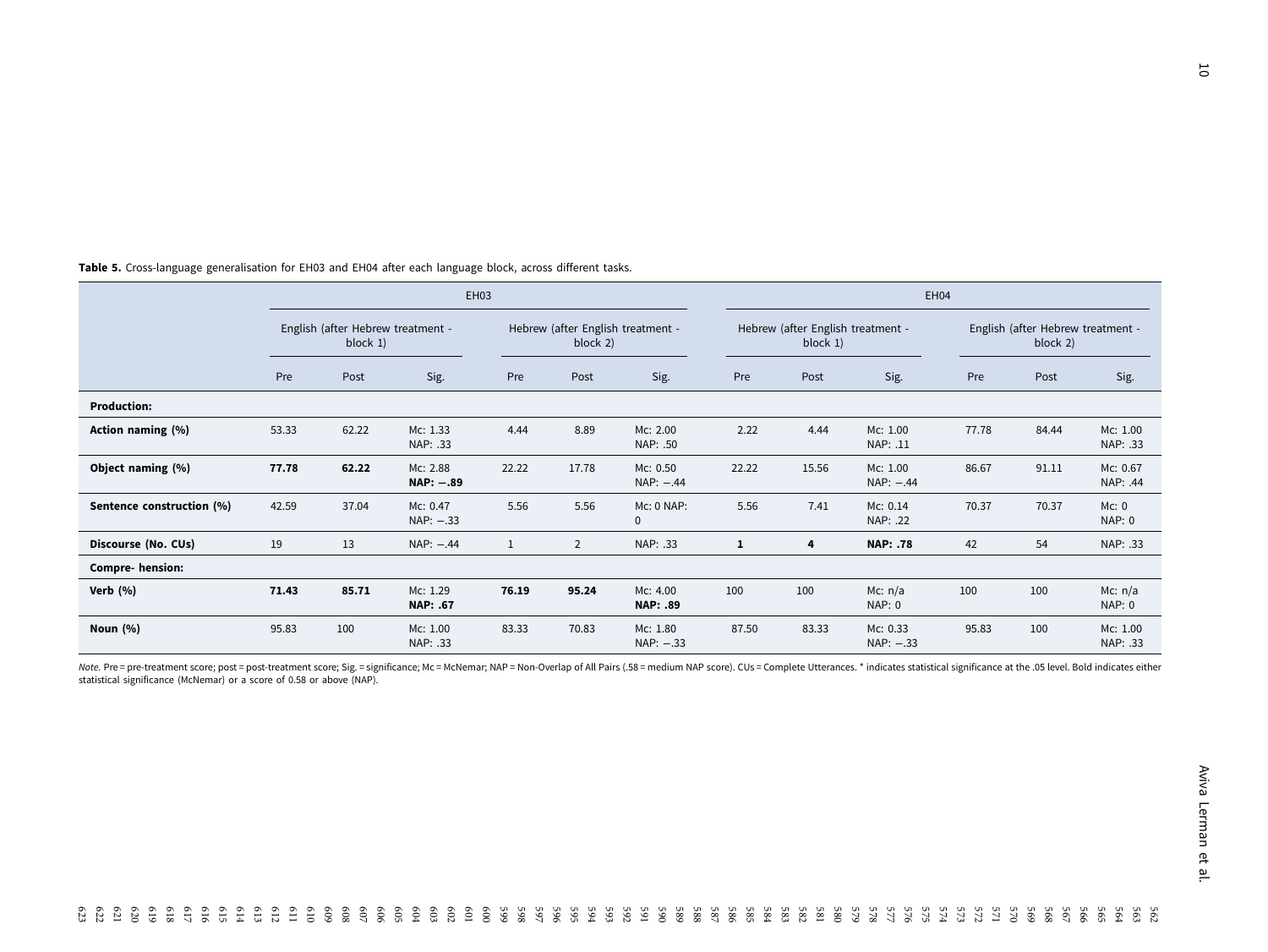|                           |                                                  | EH03  |                             |                                               |                |                             |                                               | EH04  |                          |                                               |       |                            |  |
|---------------------------|--------------------------------------------------|-------|-----------------------------|-----------------------------------------------|----------------|-----------------------------|-----------------------------------------------|-------|--------------------------|-----------------------------------------------|-------|----------------------------|--|
|                           | English (after Hebrew treatment -<br>block $1$ ) |       |                             | Hebrew (after English treatment -<br>block 2) |                |                             | Hebrew (after English treatment -<br>block 1) |       |                          | English (after Hebrew treatment -<br>block 2) |       |                            |  |
|                           | Pre                                              | Post  | Sig.                        | Pre                                           | Post           | Sig.                        | Pre                                           | Post  | Sig.                     | Pre                                           | Post  | Sig.                       |  |
| <b>Production:</b>        |                                                  |       |                             |                                               |                |                             |                                               |       |                          |                                               |       |                            |  |
| Action naming (%)         | 53.33                                            | 62.22 | Mc: 1.33<br>NAP: .33        | 4.44                                          | 8.89           | Mc: 2.00<br>NAP: .50        | 2.22                                          | 4.44  | Mc: 1.00<br>NAP: .11     | 77.78                                         | 84.44 | Mc: 1.00<br>NAP: .33       |  |
| Object naming (%)         | 77.78                                            | 62.22 | Mc: 2.88<br>$NAP: -.89$     | 22.22                                         | 17.78          | Mc: 0.50<br>$NAP: -0.44$    | 22.22                                         | 15.56 | Mc: 1.00<br>$NAP: -0.44$ | 86.67                                         | 91.11 | Mc: 0.67<br>NAP: .44       |  |
| Sentence construction (%) | 42.59                                            | 37.04 | Mc: 0.47<br>NAP: -.33       | 5.56                                          | 5.56           | Mc: 0 NAP:<br>$\mathbf 0$   | 5.56                                          | 7.41  | Mc: 0.14<br>NAP: .22     | 70.37                                         | 70.37 | Mc: 0<br><b>NAP: 0</b>     |  |
| Discourse (No. CUs)       | 19                                               | 13    | $NAP: -0.44$                | 1                                             | $\overline{2}$ | NAP: .33                    | 1                                             | 4     | <b>NAP: .78</b>          | 42                                            | 54    | NAP: .33                   |  |
| <b>Compre- hension:</b>   |                                                  |       |                             |                                               |                |                             |                                               |       |                          |                                               |       |                            |  |
| Verb $(%)$                | 71.43                                            | 85.71 | Mc: 1.29<br><b>NAP: .67</b> | 76.19                                         | 95.24          | Mc: 4.00<br><b>NAP: .89</b> | 100                                           | 100   | Mc: $n/a$<br>NAP: 0      | 100                                           | 100   | Mc: $n/a$<br><b>NAP: 0</b> |  |
| Noun $(% )$               | 95.83                                            | 100   | Mc: 1.00<br>NAP: .33        | 83.33                                         | 70.83          | Mc: 1.80<br>$NAP: -33$      | 87.50                                         | 83.33 | Mc: 0.33<br>$NAP: -.33$  | 95.83                                         | 100   | Mc: 1.00<br>NAP: .33       |  |

<span id="page-10-0"></span>Table 5. Cross-language generalisation for EH03 and EH04 after each language block, across different tasks.

Note. Pre = pre-treatment score; post = post-treatment score; Sig. = significance; Mc = McNemar; NAP = Non-Overlap of All Pairs (.58 = medium NAP score). CUs = Complete Utterances. \* indicates statistical significance at t statistical significance (McNemar) or <sup>a</sup> score of 0.58 or above (NAP).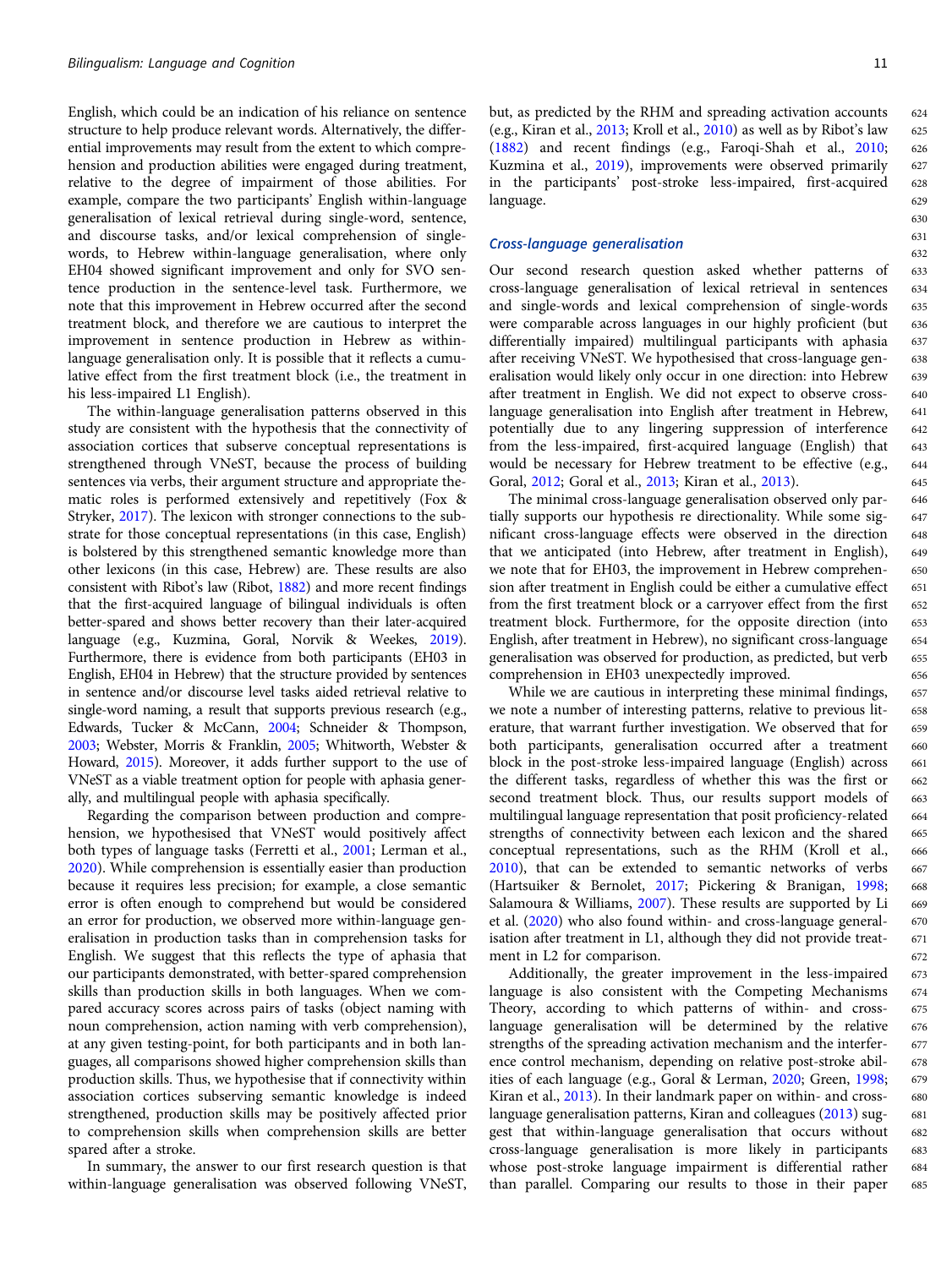English, which could be an indication of his reliance on sentence structure to help produce relevant words. Alternatively, the differential improvements may result from the extent to which comprehension and production abilities were engaged during treatment, relative to the degree of impairment of those abilities. For example, compare the two participants' English within-language generalisation of lexical retrieval during single-word, sentence, and discourse tasks, and/or lexical comprehension of singlewords, to Hebrew within-language generalisation, where only EH04 showed significant improvement and only for SVO sentence production in the sentence-level task. Furthermore, we note that this improvement in Hebrew occurred after the second treatment block, and therefore we are cautious to interpret the improvement in sentence production in Hebrew as withinlanguage generalisation only. It is possible that it reflects a cumulative effect from the first treatment block (i.e., the treatment in his less-impaired L1 English).

The within-language generalisation patterns observed in this study are consistent with the hypothesis that the connectivity of association cortices that subserve conceptual representations is strengthened through VNeST, because the process of building sentences via verbs, their argument structure and appropriate thematic roles is performed extensively and repetitively (Fox & Stryker, [2017\)](#page-14-0). The lexicon with stronger connections to the substrate for those conceptual representations (in this case, English) is bolstered by this strengthened semantic knowledge more than other lexicons (in this case, Hebrew) are. These results are also consistent with Ribot's law (Ribot, [1882](#page-15-0)) and more recent findings that the first-acquired language of bilingual individuals is often better-spared and shows better recovery than their later-acquired language (e.g., Kuzmina, Goral, Norvik & Weekes, [2019\)](#page-14-0). Furthermore, there is evidence from both participants (EH03 in English, EH04 in Hebrew) that the structure provided by sentences in sentence and/or discourse level tasks aided retrieval relative to single-word naming, a result that supports previous research (e.g., Edwards, Tucker & McCann, [2004;](#page-14-0) Schneider & Thompson, [2003](#page-15-0); Webster, Morris & Franklin, [2005;](#page-15-0) Whitworth, Webster & Howard, [2015](#page-15-0)). Moreover, it adds further support to the use of VNeST as a viable treatment option for people with aphasia generally, and multilingual people with aphasia specifically.

Regarding the comparison between production and comprehension, we hypothesised that VNeST would positively affect both types of language tasks (Ferretti et al., [2001;](#page-14-0) Lerman et al., [2020\)](#page-15-0). While comprehension is essentially easier than production because it requires less precision; for example, a close semantic error is often enough to comprehend but would be considered an error for production, we observed more within-language generalisation in production tasks than in comprehension tasks for English. We suggest that this reflects the type of aphasia that our participants demonstrated, with better-spared comprehension skills than production skills in both languages. When we compared accuracy scores across pairs of tasks (object naming with noun comprehension, action naming with verb comprehension), at any given testing-point, for both participants and in both languages, all comparisons showed higher comprehension skills than production skills. Thus, we hypothesise that if connectivity within association cortices subserving semantic knowledge is indeed strengthened, production skills may be positively affected prior to comprehension skills when comprehension skills are better spared after a stroke.

In summary, the answer to our first research question is that within-language generalisation was observed following VNeST,

661 662 663

667

669

but, as predicted by the RHM and spreading activation accounts (e.g., Kiran et al., [2013](#page-14-0); Kroll et al., [2010\)](#page-14-0) as well as by Ribot's law [\(1882\)](#page-15-0) and recent findings (e.g., Faroqi-Shah et al., [2010](#page-14-0); Kuzmina et al., [2019\)](#page-14-0), improvements were observed primarily in the participants' post-stroke less-impaired, first-acquired language.

#### Cross-language generalisation

Our second research question asked whether patterns of cross-language generalisation of lexical retrieval in sentences and single-words and lexical comprehension of single-words were comparable across languages in our highly proficient (but differentially impaired) multilingual participants with aphasia after receiving VNeST. We hypothesised that cross-language generalisation would likely only occur in one direction: into Hebrew after treatment in English. We did not expect to observe crosslanguage generalisation into English after treatment in Hebrew, potentially due to any lingering suppression of interference from the less-impaired, first-acquired language (English) that would be necessary for Hebrew treatment to be effective (e.g., Goral, [2012;](#page-14-0) Goral et al., [2013;](#page-14-0) Kiran et al., [2013\)](#page-14-0).

The minimal cross-language generalisation observed only partially supports our hypothesis re directionality. While some significant cross-language effects were observed in the direction that we anticipated (into Hebrew, after treatment in English), we note that for EH03, the improvement in Hebrew comprehension after treatment in English could be either a cumulative effect from the first treatment block or a carryover effect from the first treatment block. Furthermore, for the opposite direction (into English, after treatment in Hebrew), no significant cross-language generalisation was observed for production, as predicted, but verb comprehension in EH03 unexpectedly improved.

While we are cautious in interpreting these minimal findings, we note a number of interesting patterns, relative to previous literature, that warrant further investigation. We observed that for both participants, generalisation occurred after a treatment block in the post-stroke less-impaired language (English) across the different tasks, regardless of whether this was the first or second treatment block. Thus, our results support models of multilingual language representation that posit proficiency-related strengths of connectivity between each lexicon and the shared conceptual representations, such as the RHM (Kroll et al., [2010](#page-14-0)), that can be extended to semantic networks of verbs (Hartsuiker & Bernolet, [2017;](#page-14-0) Pickering & Branigan, [1998](#page-15-0); Salamoura & Williams, [2007](#page-15-0)). These results are supported by Li et al. ([2020](#page-15-0)) who also found within- and cross-language generalisation after treatment in L1, although they did not provide treatment in L2 for comparison. 659 660 664 665 666 668 670 671 672

Additionally, the greater improvement in the less-impaired language is also consistent with the Competing Mechanisms Theory, according to which patterns of within- and crosslanguage generalisation will be determined by the relative strengths of the spreading activation mechanism and the interference control mechanism, depending on relative post-stroke abilities of each language (e.g., Goral & Lerman, [2020](#page-14-0); Green, [1998](#page-14-0); Kiran et al., [2013](#page-14-0)). In their landmark paper on within- and crosslanguage generalisation patterns, Kiran and colleagues ([2013\)](#page-14-0) suggest that within-language generalisation that occurs without cross-language generalisation is more likely in participants whose post-stroke language impairment is differential rather than parallel. Comparing our results to those in their paper 673 674 675 676 677 678 679 680 681 682 683 684 685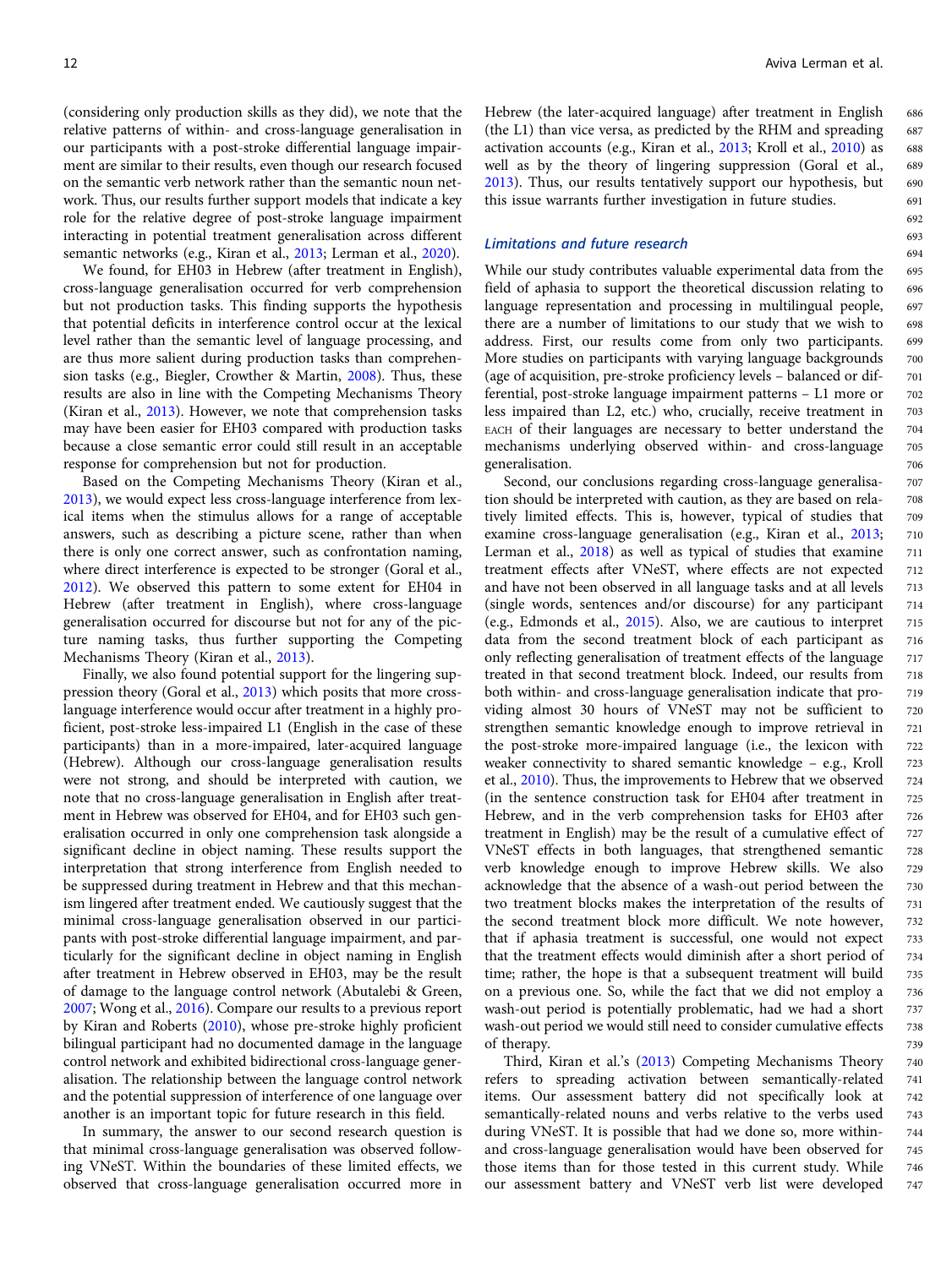(considering only production skills as they did), we note that the relative patterns of within- and cross-language generalisation in our participants with a post-stroke differential language impairment are similar to their results, even though our research focused on the semantic verb network rather than the semantic noun network. Thus, our results further support models that indicate a key role for the relative degree of post-stroke language impairment interacting in potential treatment generalisation across different semantic networks (e.g., Kiran et al., [2013](#page-14-0); Lerman et al., [2020](#page-15-0)).

We found, for EH03 in Hebrew (after treatment in English), cross-language generalisation occurred for verb comprehension but not production tasks. This finding supports the hypothesis that potential deficits in interference control occur at the lexical level rather than the semantic level of language processing, and are thus more salient during production tasks than comprehension tasks (e.g., Biegler, Crowther & Martin, [2008\)](#page-13-0). Thus, these results are also in line with the Competing Mechanisms Theory (Kiran et al., [2013\)](#page-14-0). However, we note that comprehension tasks may have been easier for EH03 compared with production tasks because a close semantic error could still result in an acceptable response for comprehension but not for production.

Based on the Competing Mechanisms Theory (Kiran et al., [2013\)](#page-14-0), we would expect less cross-language interference from lexical items when the stimulus allows for a range of acceptable answers, such as describing a picture scene, rather than when there is only one correct answer, such as confrontation naming, where direct interference is expected to be stronger (Goral et al., [2012\)](#page-14-0). We observed this pattern to some extent for EH04 in Hebrew (after treatment in English), where cross-language generalisation occurred for discourse but not for any of the picture naming tasks, thus further supporting the Competing Mechanisms Theory (Kiran et al., [2013](#page-14-0)).

Finally, we also found potential support for the lingering suppression theory (Goral et al., [2013](#page-14-0)) which posits that more crosslanguage interference would occur after treatment in a highly proficient, post-stroke less-impaired L1 (English in the case of these participants) than in a more-impaired, later-acquired language (Hebrew). Although our cross-language generalisation results were not strong, and should be interpreted with caution, we note that no cross-language generalisation in English after treatment in Hebrew was observed for EH04, and for EH03 such generalisation occurred in only one comprehension task alongside a significant decline in object naming. These results support the interpretation that strong interference from English needed to be suppressed during treatment in Hebrew and that this mechanism lingered after treatment ended. We cautiously suggest that the minimal cross-language generalisation observed in our participants with post-stroke differential language impairment, and particularly for the significant decline in object naming in English after treatment in Hebrew observed in EH03, may be the result of damage to the language control network (Abutalebi & Green, [2007;](#page-13-0) Wong et al., [2016](#page-15-0)). Compare our results to a previous report by Kiran and Roberts [\(2010](#page-14-0)), whose pre-stroke highly proficient bilingual participant had no documented damage in the language control network and exhibited bidirectional cross-language generalisation. The relationship between the language control network and the potential suppression of interference of one language over another is an important topic for future research in this field.

In summary, the answer to our second research question is that minimal cross-language generalisation was observed following VNeST. Within the boundaries of these limited effects, we observed that cross-language generalisation occurred more in

Hebrew (the later-acquired language) after treatment in English (the L1) than vice versa, as predicted by the RHM and spreading activation accounts (e.g., Kiran et al., [2013](#page-14-0); Kroll et al., [2010\)](#page-14-0) as well as by the theory of lingering suppression (Goral et al., [2013\)](#page-14-0). Thus, our results tentatively support our hypothesis, but this issue warrants further investigation in future studies.

#### Limitations and future research

While our study contributes valuable experimental data from the field of aphasia to support the theoretical discussion relating to language representation and processing in multilingual people, there are a number of limitations to our study that we wish to address. First, our results come from only two participants. More studies on participants with varying language backgrounds (age of acquisition, pre-stroke proficiency levels – balanced or differential, post-stroke language impairment patterns – L1 more or less impaired than L2, etc.) who, crucially, receive treatment in EACH of their languages are necessary to better understand the mechanisms underlying observed within- and cross-language generalisation.

Second, our conclusions regarding cross-language generalisation should be interpreted with caution, as they are based on relatively limited effects. This is, however, typical of studies that examine cross-language generalisation (e.g., Kiran et al., [2013;](#page-14-0) Lerman et al., [2018](#page-14-0)) as well as typical of studies that examine treatment effects after VNeST, where effects are not expected and have not been observed in all language tasks and at all levels (single words, sentences and/or discourse) for any participant (e.g., Edmonds et al., [2015\)](#page-14-0). Also, we are cautious to interpret data from the second treatment block of each participant as only reflecting generalisation of treatment effects of the language treated in that second treatment block. Indeed, our results from both within- and cross-language generalisation indicate that providing almost 30 hours of VNeST may not be sufficient to strengthen semantic knowledge enough to improve retrieval in the post-stroke more-impaired language (i.e., the lexicon with weaker connectivity to shared semantic knowledge – e.g., Kroll et al., [2010](#page-14-0)). Thus, the improvements to Hebrew that we observed (in the sentence construction task for EH04 after treatment in Hebrew, and in the verb comprehension tasks for EH03 after treatment in English) may be the result of a cumulative effect of VNeST effects in both languages, that strengthened semantic verb knowledge enough to improve Hebrew skills. We also acknowledge that the absence of a wash-out period between the two treatment blocks makes the interpretation of the results of the second treatment block more difficult. We note however, that if aphasia treatment is successful, one would not expect that the treatment effects would diminish after a short period of time; rather, the hope is that a subsequent treatment will build on a previous one. So, while the fact that we did not employ a wash-out period is potentially problematic, had we had a short wash-out period we would still need to consider cumulative effects of therapy. 707 708 709 710 711 712 713 714 715 716 717 718 719 720 721 722 723 724 725 726 727 728 729 730 731 732 733 734 735 736 737 738 739

Third, Kiran et al.'s [\(2013\)](#page-14-0) Competing Mechanisms Theory refers to spreading activation between semantically-related items. Our assessment battery did not specifically look at semantically-related nouns and verbs relative to the verbs used during VNeST. It is possible that had we done so, more withinand cross-language generalisation would have been observed for those items than for those tested in this current study. While our assessment battery and VNeST verb list were developed 740 741 742 743 744 745 746 747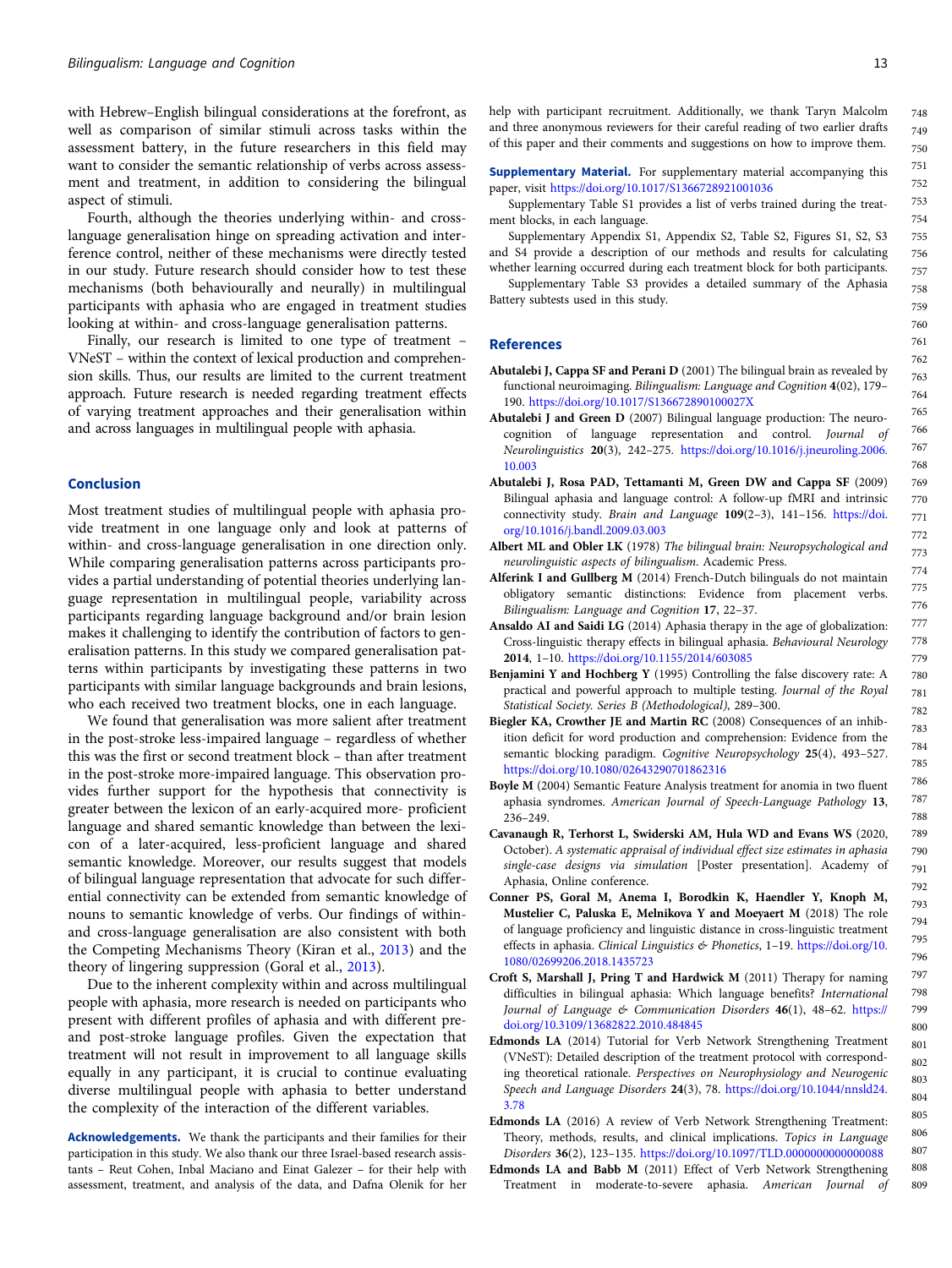<span id="page-13-0"></span>with Hebrew–English bilingual considerations at the forefront, as well as comparison of similar stimuli across tasks within the assessment battery, in the future researchers in this field may want to consider the semantic relationship of verbs across assessment and treatment, in addition to considering the bilingual aspect of stimuli.

Fourth, although the theories underlying within- and crosslanguage generalisation hinge on spreading activation and interference control, neither of these mechanisms were directly tested in our study. Future research should consider how to test these mechanisms (both behaviourally and neurally) in multilingual participants with aphasia who are engaged in treatment studies looking at within- and cross-language generalisation patterns.

Finally, our research is limited to one type of treatment – VNeST – within the context of lexical production and comprehension skills. Thus, our results are limited to the current treatment approach. Future research is needed regarding treatment effects of varying treatment approaches and their generalisation within and across languages in multilingual people with aphasia.

### Conclusion

Most treatment studies of multilingual people with aphasia provide treatment in one language only and look at patterns of within- and cross-language generalisation in one direction only. While comparing generalisation patterns across participants provides a partial understanding of potential theories underlying language representation in multilingual people, variability across participants regarding language background and/or brain lesion makes it challenging to identify the contribution of factors to generalisation patterns. In this study we compared generalisation patterns within participants by investigating these patterns in two participants with similar language backgrounds and brain lesions, who each received two treatment blocks, one in each language.

We found that generalisation was more salient after treatment in the post-stroke less-impaired language – regardless of whether this was the first or second treatment block – than after treatment in the post-stroke more-impaired language. This observation provides further support for the hypothesis that connectivity is greater between the lexicon of an early-acquired more- proficient language and shared semantic knowledge than between the lexicon of a later-acquired, less-proficient language and shared semantic knowledge. Moreover, our results suggest that models of bilingual language representation that advocate for such differential connectivity can be extended from semantic knowledge of nouns to semantic knowledge of verbs. Our findings of withinand cross-language generalisation are also consistent with both the Competing Mechanisms Theory (Kiran et al., [2013\)](#page-14-0) and the theory of lingering suppression (Goral et al., [2013\)](#page-14-0).

Due to the inherent complexity within and across multilingual people with aphasia, more research is needed on participants who present with different profiles of aphasia and with different preand post-stroke language profiles. Given the expectation that treatment will not result in improvement to all language skills equally in any participant, it is crucial to continue evaluating diverse multilingual people with aphasia to better understand the complexity of the interaction of the different variables.

Acknowledgements. We thank the participants and their families for their participation in this study. We also thank our three Israel-based research assistants – Reut Cohen, Inbal Maciano and Einat Galezer – for their help with assessment, treatment, and analysis of the data, and Dafna Olenik for her help with participant recruitment. Additionally, we thank Taryn Malcolm and three anonymous reviewers for their careful reading of two earlier drafts of this paper and their comments and suggestions on how to improve them. 748 749 750

Supplementary Material. For supplementary material accompanying this paper, visit <https://doi.org/10.1017/S1366728921001036>

Supplementary Table S1 provides a list of verbs trained during the treatment blocks, in each language.

Supplementary Appendix S1, Appendix S2, Table S2, Figures S1, S2, S3 and S4 provide a description of our methods and results for calculating whether learning occurred during each treatment block for both participants.

Supplementary Table S3 provides a detailed summary of the Aphasia Battery subtests used in this study.

#### References

- Abutalebi J, Cappa SF and Perani D (2001) The bilingual brain as revealed by functional neuroimaging. Bilingualism: Language and Cognition 4(02), 179– 190. <https://doi.org/10.1017/S136672890100027X>
- Abutalebi J and Green D (2007) Bilingual language production: The neurocognition of language representation and control. Journal of Neurolinguistics 20(3), 242–275. [https://doi.org/10.1016/j.jneuroling.2006.](https://doi.org/10.1016/j.jneuroling.2006.10.003) [10.003](https://doi.org/10.1016/j.jneuroling.2006.10.003)
- Abutalebi J, Rosa PAD, Tettamanti M, Green DW and Cappa SF (2009) Bilingual aphasia and language control: A follow-up fMRI and intrinsic connectivity study. Brain and Language 109(2-3), 141-156. [https://doi.](https://doi.org/10.1016/j.bandl.2009.03.003) [org/10.1016/j.bandl.2009.03.003](https://doi.org/10.1016/j.bandl.2009.03.003)
- Albert ML and Obler LK (1978) The bilingual brain: Neuropsychological and neurolinguistic aspects of bilingualism. Academic Press.
- Alferink I and Gullberg M (2014) French-Dutch bilinguals do not maintain obligatory semantic distinctions: Evidence from placement verbs. Bilingualism: Language and Cognition 17, 22–37.
- Ansaldo AI and Saidi LG (2014) Aphasia therapy in the age of globalization: Cross-linguistic therapy effects in bilingual aphasia. Behavioural Neurology 2014, 1–10. <https://doi.org/10.1155/2014/603085>
- Benjamini Y and Hochberg Y (1995) Controlling the false discovery rate: A practical and powerful approach to multiple testing. Journal of the Royal Statistical Society. Series B (Methodological), 289–300.
- Biegler KA, Crowther JE and Martin RC (2008) Consequences of an inhibition deficit for word production and comprehension: Evidence from the semantic blocking paradigm. Cognitive Neuropsychology 25(4), 493-527. <https://doi.org/10.1080/02643290701862316>
- Boyle M (2004) Semantic Feature Analysis treatment for anomia in two fluent aphasia syndromes. American Journal of Speech-Language Pathology 13, 236–249.
- Cavanaugh R, Terhorst L, Swiderski AM, Hula WD and Evans WS (2020, October). A systematic appraisal of individual effect size estimates in aphasia single-case designs via simulation [Poster presentation]. Academy of Aphasia, Online conference.
- Conner PS, Goral M, Anema I, Borodkin K, Haendler Y, Knoph M, Mustelier C, Paluska E, Melnikova Y and Moeyaert M (2018) The role of language proficiency and linguistic distance in cross-linguistic treatment effects in aphasia. Clinical Linguistics & Phonetics, 1–19. [https://doi.org/10.](https://doi.org/10.1080/02699206.2018.1435723) [1080/02699206.2018.1435723](https://doi.org/10.1080/02699206.2018.1435723)
- Croft S, Marshall J, Pring T and Hardwick M (2011) Therapy for naming difficulties in bilingual aphasia: Which language benefits? International Journal of Language & Communication Disorders 46(1), 48–62. [https://](https://doi.org/10.3109/13682822.2010.484845) [doi.org/10.3109/13682822.2010.484845](https://doi.org/10.3109/13682822.2010.484845)
- Edmonds LA (2014) Tutorial for Verb Network Strengthening Treatment (VNeST): Detailed description of the treatment protocol with corresponding theoretical rationale. Perspectives on Neurophysiology and Neurogenic Speech and Language Disorders 24(3), 78. [https://doi.org/10.1044/nnsld24.](https://doi.org/10.1044/nnsld24.3.78) [3.78](https://doi.org/10.1044/nnsld24.3.78)
- Edmonds LA (2016) A review of Verb Network Strengthening Treatment: Theory, methods, results, and clinical implications. Topics in Language Disorders 36(2), 123–135. <https://doi.org/10.1097/TLD.0000000000000088>
- Edmonds LA and Babb M (2011) Effect of Verb Network Strengthening Treatment in moderate-to-severe aphasia. American Journal of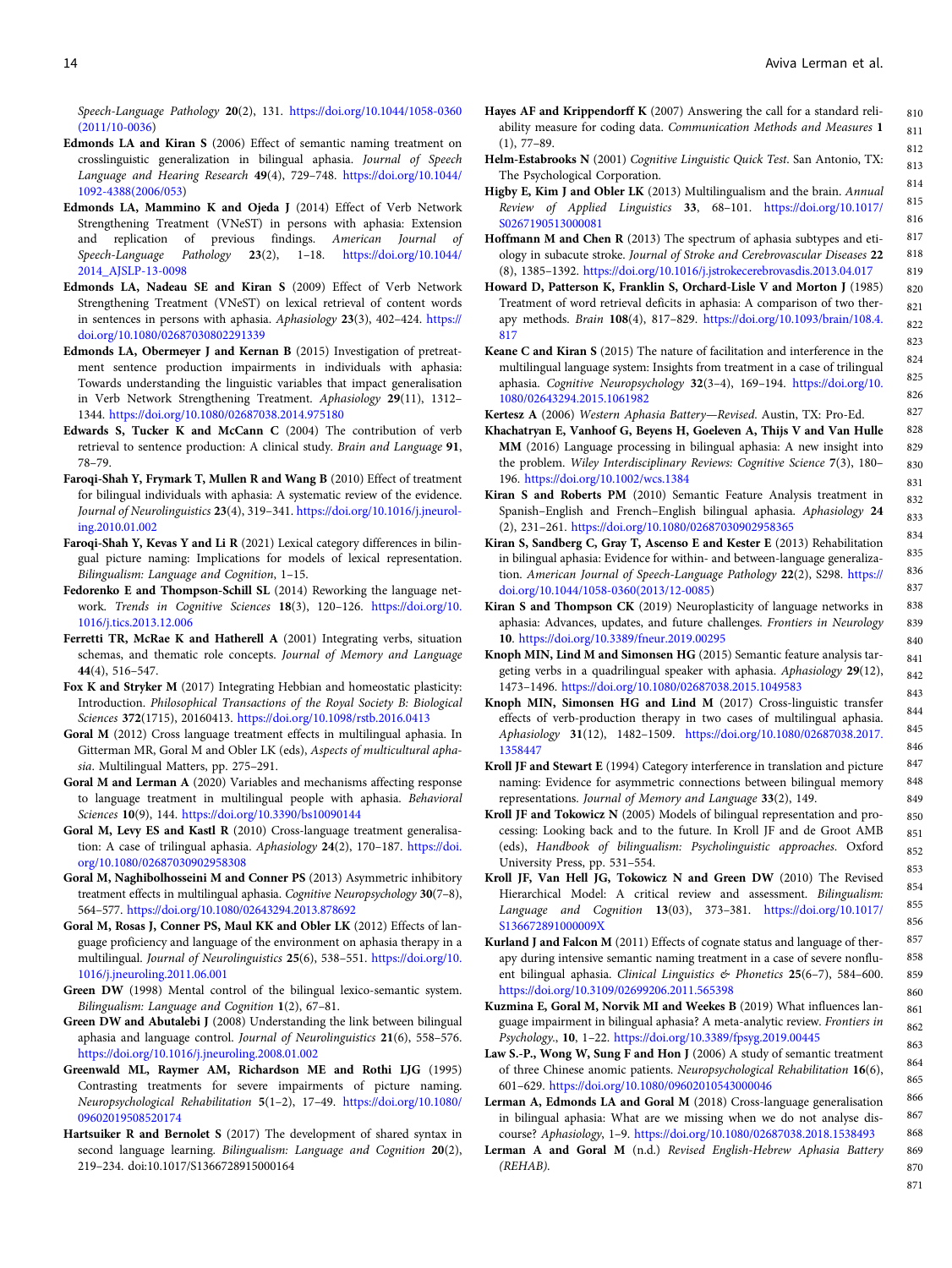<span id="page-14-0"></span>Speech-Language Pathology 20(2), 131. [https://doi.org/10.1044/1058-0360](https://doi.org/10.1044/1058-0360(2011/10-0036) [\(2011/10-0036](https://doi.org/10.1044/1058-0360(2011/10-0036))

- Edmonds LA and Kiran S (2006) Effect of semantic naming treatment on crosslinguistic generalization in bilingual aphasia. Journal of Speech Language and Hearing Research 49(4), 729–748. [https://doi.org/10.1044/](https://doi.org/10.1044/1092-4388(2006/053) [1092-4388\(2006/053](https://doi.org/10.1044/1092-4388(2006/053))
- Edmonds LA, Mammino K and Ojeda J (2014) Effect of Verb Network Strengthening Treatment (VNeST) in persons with aphasia: Extension and replication of previous findings. American Journal of Speech-Language Pathology 23(2), 1–18. [https://doi.org/10.1044/](https://doi.org/10.1044/2014_AJSLP-13-0098) [2014\\_AJSLP-13-0098](https://doi.org/10.1044/2014_AJSLP-13-0098)
- Edmonds LA, Nadeau SE and Kiran S (2009) Effect of Verb Network Strengthening Treatment (VNeST) on lexical retrieval of content words in sentences in persons with aphasia. Aphasiology 23(3), 402–424. [https://](https://doi.org/10.1080/02687030802291339) [doi.org/10.1080/02687030802291339](https://doi.org/10.1080/02687030802291339)
- Edmonds LA, Obermeyer J and Kernan B (2015) Investigation of pretreatment sentence production impairments in individuals with aphasia: Towards understanding the linguistic variables that impact generalisation in Verb Network Strengthening Treatment. Aphasiology 29(11), 1312– 1344. <https://doi.org/10.1080/02687038.2014.975180>
- Edwards S, Tucker K and McCann C (2004) The contribution of verb retrieval to sentence production: A clinical study. Brain and Language 91, 78–79.
- Faroqi-Shah Y, Frymark T, Mullen R and Wang B (2010) Effect of treatment for bilingual individuals with aphasia: A systematic review of the evidence. Journal of Neurolinguistics 23(4), 319–341. [https://doi.org/10.1016/j.jneurol](https://doi.org/10.1016/j.jneuroling.2010.01.002)[ing.2010.01.002](https://doi.org/10.1016/j.jneuroling.2010.01.002)
- Faroqi-Shah Y, Kevas Y and Li R (2021) Lexical category differences in bilingual picture naming: Implications for models of lexical representation. Bilingualism: Language and Cognition, 1–15.
- Fedorenko E and Thompson-Schill SL (2014) Reworking the language network. Trends in Cognitive Sciences 18(3), 120–126. [https://doi.org/10.](https://doi.org/10.1016/j.tics.2013.12.006) [1016/j.tics.2013.12.006](https://doi.org/10.1016/j.tics.2013.12.006)
- Ferretti TR, McRae K and Hatherell A (2001) Integrating verbs, situation schemas, and thematic role concepts. Journal of Memory and Language 44(4), 516–547.
- Fox K and Stryker M (2017) Integrating Hebbian and homeostatic plasticity: Introduction. Philosophical Transactions of the Royal Society B: Biological Sciences 372(1715), 20160413. <https://doi.org/10.1098/rstb.2016.0413>
- Goral M (2012) Cross language treatment effects in multilingual aphasia. In Gitterman MR, Goral M and Obler LK (eds), Aspects of multicultural aphasia. Multilingual Matters, pp. 275–291.
- Goral M and Lerman A (2020) Variables and mechanisms affecting response to language treatment in multilingual people with aphasia. Behavioral Sciences 10(9), 144. <https://doi.org/10.3390/bs10090144>
- Goral M, Levy ES and Kastl R (2010) Cross-language treatment generalisation: A case of trilingual aphasia. Aphasiology 24(2), 170–187. [https://doi.](https://doi.org/10.1080/02687030902958308) [org/10.1080/02687030902958308](https://doi.org/10.1080/02687030902958308)
- Goral M, Naghibolhosseini M and Conner PS (2013) Asymmetric inhibitory treatment effects in multilingual aphasia. Cognitive Neuropsychology 30(7-8), 564–577. <https://doi.org/10.1080/02643294.2013.878692>
- Goral M, Rosas J, Conner PS, Maul KK and Obler LK (2012) Effects of language proficiency and language of the environment on aphasia therapy in a multilingual. Journal of Neurolinguistics 25(6), 538–551. [https://doi.org/10.](https://doi.org/10.1016/j.jneuroling.2011.06.001) [1016/j.jneuroling.2011.06.001](https://doi.org/10.1016/j.jneuroling.2011.06.001)
- Green DW (1998) Mental control of the bilingual lexico-semantic system. Bilingualism: Language and Cognition 1(2), 67–81.
- Green DW and Abutalebi J (2008) Understanding the link between bilingual aphasia and language control. Journal of Neurolinguistics 21(6), 558–576. <https://doi.org/10.1016/j.jneuroling.2008.01.002>
- Greenwald ML, Raymer AM, Richardson ME and Rothi LJG (1995) Contrasting treatments for severe impairments of picture naming. Neuropsychological Rehabilitation 5(1–2), 17–49. [https://doi.org/10.1080/](https://doi.org/10.1080/09602019508520174) [09602019508520174](https://doi.org/10.1080/09602019508520174)
- Hartsuiker R and Bernolet S (2017) The development of shared syntax in second language learning. Bilingualism: Language and Cognition 20(2), 219–234. doi:10.1017/S1366728915000164
- Hayes AF and Krippendorff K (2007) Answering the call for a standard reliability measure for coding data. Communication Methods and Measures 1 (1), 77–89. 810 811 812
- Helm-Estabrooks N (2001) Cognitive Linguistic Quick Test. San Antonio, TX: The Psychological Corporation.
- Higby E, Kim J and Obler LK (2013) Multilingualism and the brain. Annual Review of Applied Linguistics 33, 68–101. [https://doi.org/10.1017/](https://doi.org/10.1017/S0267190513000081) [S0267190513000081](https://doi.org/10.1017/S0267190513000081)
- Hoffmann M and Chen R (2013) The spectrum of aphasia subtypes and etiology in subacute stroke. Journal of Stroke and Cerebrovascular Diseases 22 (8), 1385–1392. <https://doi.org/10.1016/j.jstrokecerebrovasdis.2013.04.017>
- Howard D, Patterson K, Franklin S, Orchard-Lisle V and Morton J (1985) Treatment of word retrieval deficits in aphasia: A comparison of two therapy methods. Brain 108(4), 817–829. [https://doi.org/10.1093/brain/108.4.](https://doi.org/10.1093/brain/108.4.817) [817](https://doi.org/10.1093/brain/108.4.817)
- Keane C and Kiran S (2015) The nature of facilitation and interference in the multilingual language system: Insights from treatment in a case of trilingual aphasia. Cognitive Neuropsychology 32(3–4), 169–194. [https://doi.org/10.](https://doi.org/10.1080/02643294.2015.1061982) [1080/02643294.2015.1061982](https://doi.org/10.1080/02643294.2015.1061982)

Kertesz A (2006) Western Aphasia Battery—Revised. Austin, TX: Pro-Ed. Khachatryan E, Vanhoof G, Beyens H, Goeleven A, Thijs V and Van Hulle

- MM (2016) Language processing in bilingual aphasia: A new insight into the problem. Wiley Interdisciplinary Reviews: Cognitive Science 7(3), 180– 196. <https://doi.org/10.1002/wcs.1384>
- Kiran S and Roberts PM (2010) Semantic Feature Analysis treatment in Spanish–English and French–English bilingual aphasia. Aphasiology 24 (2), 231–261. <https://doi.org/10.1080/02687030902958365>
- Kiran S, Sandberg C, Gray T, Ascenso E and Kester E (2013) Rehabilitation in bilingual aphasia: Evidence for within- and between-language generalization. American Journal of Speech-Language Pathology 22(2), S298. [https://](https://doi.org/10.1044/1058-0360(2013/12-0085) [doi.org/10.1044/1058-0360\(2013/12-0085](https://doi.org/10.1044/1058-0360(2013/12-0085))
- Kiran S and Thompson CK (2019) Neuroplasticity of language networks in aphasia: Advances, updates, and future challenges. Frontiers in Neurology 10. <https://doi.org/10.3389/fneur.2019.00295>
- Knoph MIN, Lind M and Simonsen HG (2015) Semantic feature analysis targeting verbs in a quadrilingual speaker with aphasia. Aphasiology 29(12), 1473–1496. <https://doi.org/10.1080/02687038.2015.1049583>
- Knoph MIN, Simonsen HG and Lind M (2017) Cross-linguistic transfer effects of verb-production therapy in two cases of multilingual aphasia. Aphasiology 31(12), 1482–1509. [https://doi.org/10.1080/02687038.2017.](https://doi.org/10.1080/02687038.2017.1358447) [1358447](https://doi.org/10.1080/02687038.2017.1358447)
- Kroll JF and Stewart E (1994) Category interference in translation and picture naming: Evidence for asymmetric connections between bilingual memory representations. Journal of Memory and Language 33(2), 149.
- Kroll JF and Tokowicz N (2005) Models of bilingual representation and processing: Looking back and to the future. In Kroll JF and de Groot AMB (eds), Handbook of bilingualism: Psycholinguistic approaches. Oxford University Press, pp. 531–554.
- Kroll JF, Van Hell JG, Tokowicz N and Green DW (2010) The Revised Hierarchical Model: A critical review and assessment. Bilingualism: Language and Cognition 13(03), 373–381. [https://doi.org/10.1017/](https://doi.org/10.1017/S136672891000009X) [S136672891000009X](https://doi.org/10.1017/S136672891000009X)
- Kurland J and Falcon M (2011) Effects of cognate status and language of therapy during intensive semantic naming treatment in a case of severe nonfluent bilingual aphasia. Clinical Linguistics & Phonetics 25(6-7), 584-600. <https://doi.org/10.3109/02699206.2011.565398>
- Kuzmina E, Goral M, Norvik MI and Weekes B (2019) What influences language impairment in bilingual aphasia? A meta-analytic review. Frontiers in Psychology., 10, 1–22. <https://doi.org/10.3389/fpsyg.2019.00445>
- Law S.-P., Wong W, Sung F and Hon J (2006) A study of semantic treatment of three Chinese anomic patients. Neuropsychological Rehabilitation 16(6), 601–629. <https://doi.org/10.1080/09602010543000046>
- Lerman A, Edmonds LA and Goral M (2018) Cross-language generalisation in bilingual aphasia: What are we missing when we do not analyse discourse? Aphasiology, 1–9. <https://doi.org/10.1080/02687038.2018.1538493>
- Lerman A and Goral M (n.d.) Revised English-Hebrew Aphasia Battery (REHAB).